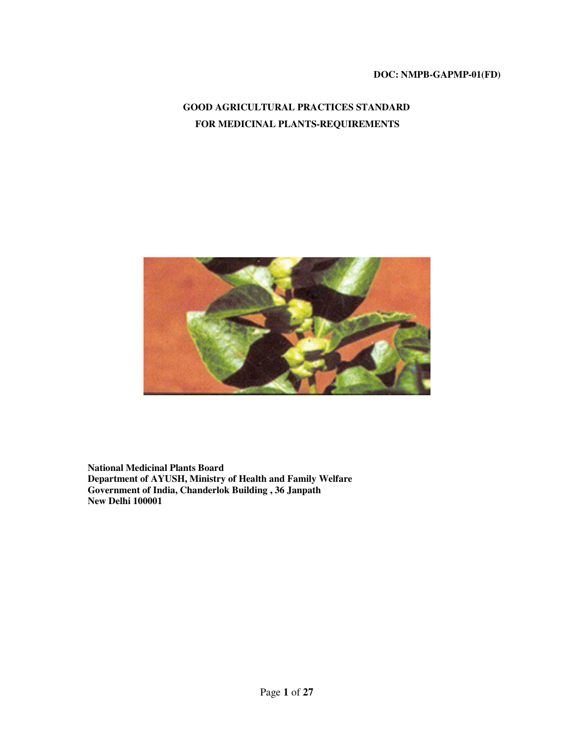### **DOC: NMPB-GAPMP-01(FD)**

# **GOOD AGRICULTURAL PRACTICES STANDARD FOR MEDICINAL PLANTS-REQUIREMENTS**



**National Medicinal Plants Board Department of AYUSH, Ministry of Health and Family Welfare Government of India, Chanderlok Building , 36 Janpath New Delhi 100001**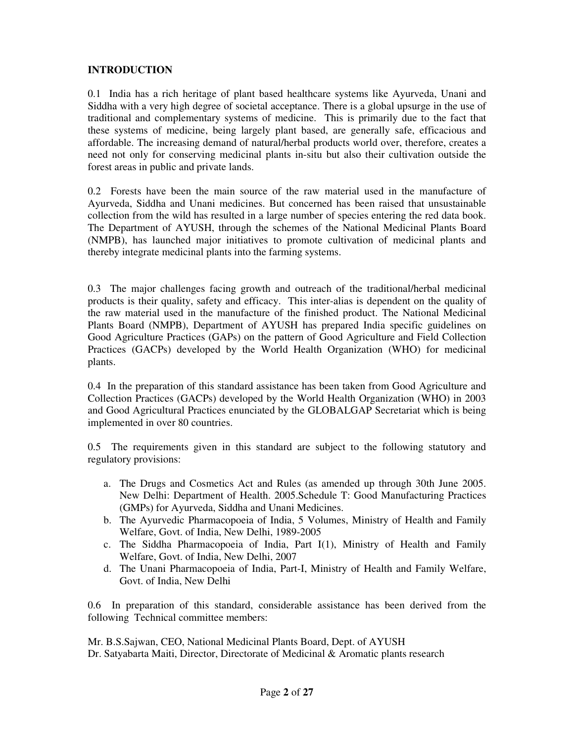### **INTRODUCTION**

0.1 India has a rich heritage of plant based healthcare systems like Ayurveda, Unani and Siddha with a very high degree of societal acceptance. There is a global upsurge in the use of traditional and complementary systems of medicine. This is primarily due to the fact that these systems of medicine, being largely plant based, are generally safe, efficacious and affordable. The increasing demand of natural/herbal products world over, therefore, creates a need not only for conserving medicinal plants in-situ but also their cultivation outside the forest areas in public and private lands.

0.2 Forests have been the main source of the raw material used in the manufacture of Ayurveda, Siddha and Unani medicines. But concerned has been raised that unsustainable collection from the wild has resulted in a large number of species entering the red data book. The Department of AYUSH, through the schemes of the National Medicinal Plants Board (NMPB), has launched major initiatives to promote cultivation of medicinal plants and thereby integrate medicinal plants into the farming systems.

0.3 The major challenges facing growth and outreach of the traditional/herbal medicinal products is their quality, safety and efficacy. This inter-alias is dependent on the quality of the raw material used in the manufacture of the finished product. The National Medicinal Plants Board (NMPB), Department of AYUSH has prepared India specific guidelines on Good Agriculture Practices (GAPs) on the pattern of Good Agriculture and Field Collection Practices (GACPs) developed by the World Health Organization (WHO) for medicinal plants.

0.4 In the preparation of this standard assistance has been taken from Good Agriculture and Collection Practices (GACPs) developed by the World Health Organization (WHO) in 2003 and Good Agricultural Practices enunciated by the GLOBALGAP Secretariat which is being implemented in over 80 countries.

0.5 The requirements given in this standard are subject to the following statutory and regulatory provisions:

- a. The Drugs and Cosmetics Act and Rules (as amended up through 30th June 2005. New Delhi: Department of Health. 2005.Schedule T: Good Manufacturing Practices (GMPs) for Ayurveda, Siddha and Unani Medicines.
- b. The Ayurvedic Pharmacopoeia of India, 5 Volumes, Ministry of Health and Family Welfare, Govt. of India, New Delhi, 1989-2005
- c. The Siddha Pharmacopoeia of India, Part I(1), Ministry of Health and Family Welfare, Govt. of India, New Delhi, 2007
- d. The Unani Pharmacopoeia of India, Part-I, Ministry of Health and Family Welfare, Govt. of India, New Delhi

0.6 In preparation of this standard, considerable assistance has been derived from the following Technical committee members:

Mr. B.S.Sajwan, CEO, National Medicinal Plants Board, Dept. of AYUSH Dr. Satyabarta Maiti, Director, Directorate of Medicinal & Aromatic plants research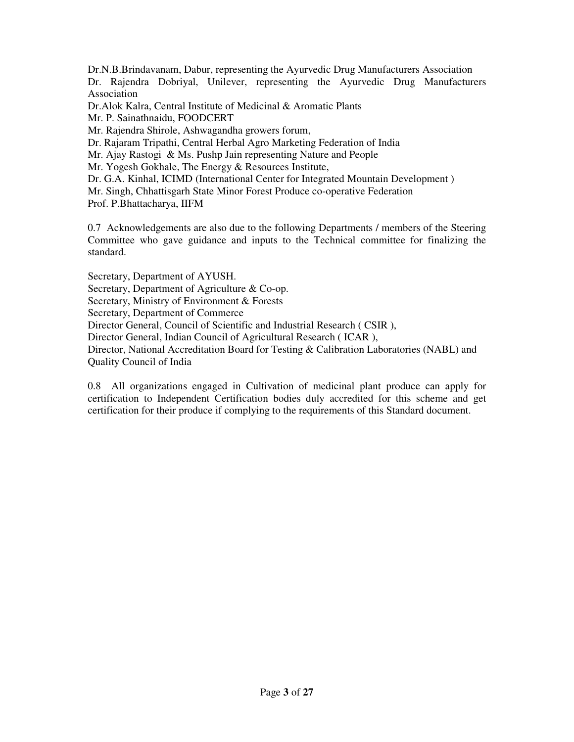Dr.N.B.Brindavanam, Dabur, representing the Ayurvedic Drug Manufacturers Association Dr. Rajendra Dobriyal, Unilever, representing the Ayurvedic Drug Manufacturers Association Dr.Alok Kalra, Central Institute of Medicinal & Aromatic Plants Mr. P. Sainathnaidu, FOODCERT Mr. Rajendra Shirole, Ashwagandha growers forum, Dr. Rajaram Tripathi, Central Herbal Agro Marketing Federation of India

Mr. Ajay Rastogi & Ms. Pushp Jain representing Nature and People

Mr. Yogesh Gokhale, The Energy & Resources Institute,

Dr. G.A. Kinhal, ICIMD (International Center for Integrated Mountain Development )

Mr. Singh, Chhattisgarh State Minor Forest Produce co-operative Federation

Prof. P.Bhattacharya, IIFM

0.7 Acknowledgements are also due to the following Departments / members of the Steering Committee who gave guidance and inputs to the Technical committee for finalizing the standard.

Secretary, Department of AYUSH.

Secretary, Department of Agriculture & Co-op.

Secretary, Ministry of Environment & Forests

Secretary, Department of Commerce

Director General, Council of Scientific and Industrial Research ( CSIR ),

Director General, Indian Council of Agricultural Research ( ICAR ),

Director, National Accreditation Board for Testing & Calibration Laboratories (NABL) and Quality Council of India

0.8 All organizations engaged in Cultivation of medicinal plant produce can apply for certification to Independent Certification bodies duly accredited for this scheme and get certification for their produce if complying to the requirements of this Standard document.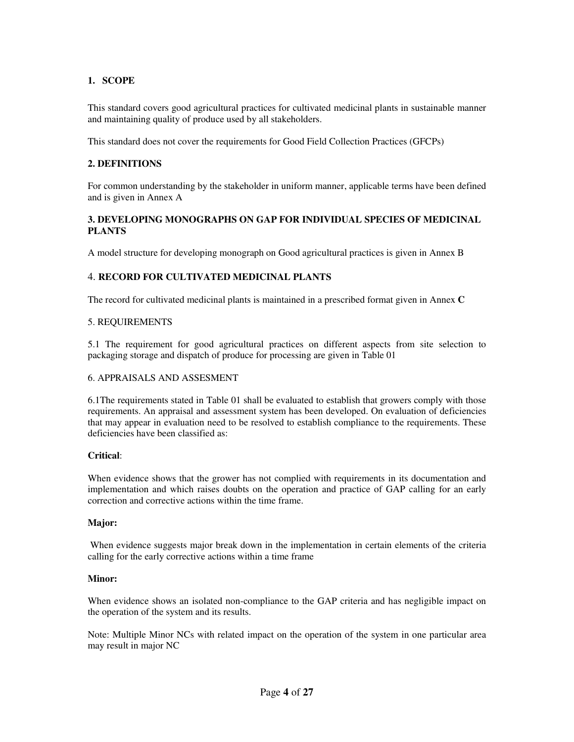### **1. SCOPE**

This standard covers good agricultural practices for cultivated medicinal plants in sustainable manner and maintaining quality of produce used by all stakeholders.

This standard does not cover the requirements for Good Field Collection Practices (GFCPs)

### **2. DEFINITIONS**

For common understanding by the stakeholder in uniform manner, applicable terms have been defined and is given in Annex A

### **3. DEVELOPING MONOGRAPHS ON GAP FOR INDIVIDUAL SPECIES OF MEDICINAL PLANTS**

A model structure for developing monograph on Good agricultural practices is given in Annex B

### 4. **RECORD FOR CULTIVATED MEDICINAL PLANTS**

The record for cultivated medicinal plants is maintained in a prescribed format given in Annex **C** 

#### 5. REQUIREMENTS

5.1 The requirement for good agricultural practices on different aspects from site selection to packaging storage and dispatch of produce for processing are given in Table 01

### 6. APPRAISALS AND ASSESMENT

6.1The requirements stated in Table 01 shall be evaluated to establish that growers comply with those requirements. An appraisal and assessment system has been developed. On evaluation of deficiencies that may appear in evaluation need to be resolved to establish compliance to the requirements. These deficiencies have been classified as:

#### **Critical**:

When evidence shows that the grower has not complied with requirements in its documentation and implementation and which raises doubts on the operation and practice of GAP calling for an early correction and corrective actions within the time frame.

#### **Major:**

 When evidence suggests major break down in the implementation in certain elements of the criteria calling for the early corrective actions within a time frame

#### **Minor:**

When evidence shows an isolated non-compliance to the GAP criteria and has negligible impact on the operation of the system and its results.

Note: Multiple Minor NCs with related impact on the operation of the system in one particular area may result in major NC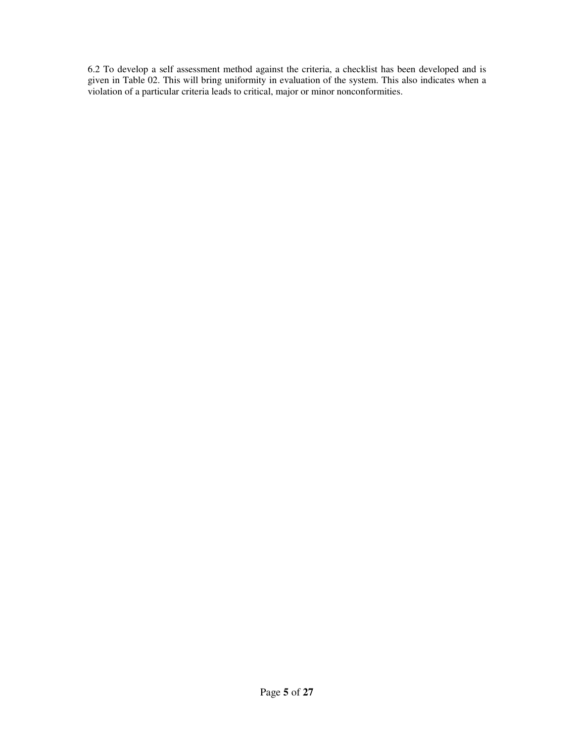6.2 To develop a self assessment method against the criteria, a checklist has been developed and is given in Table 02. This will bring uniformity in evaluation of the system. This also indicates when a violation of a particular criteria leads to critical, major or minor nonconformities.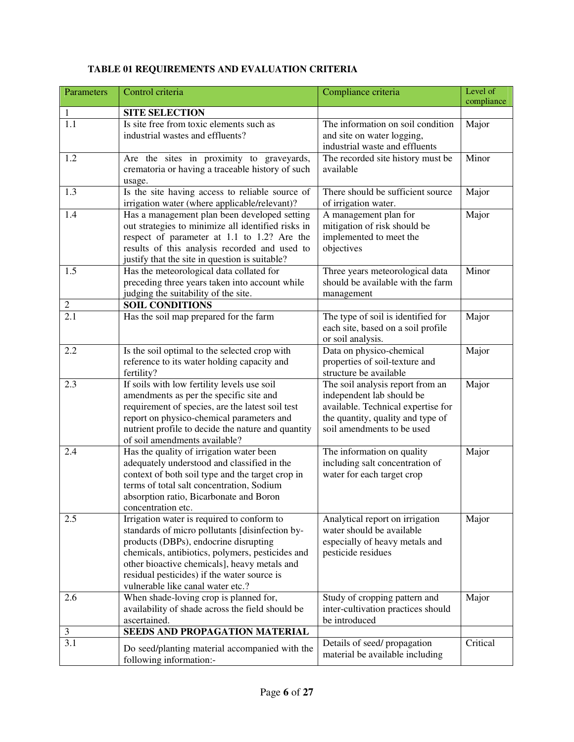| Parameters       | Control criteria                                                                                                                                                                                                                                                                                                               | Compliance criteria                                                                                                                                                    | Level of<br>compliance |
|------------------|--------------------------------------------------------------------------------------------------------------------------------------------------------------------------------------------------------------------------------------------------------------------------------------------------------------------------------|------------------------------------------------------------------------------------------------------------------------------------------------------------------------|------------------------|
| $\mathbf{1}$     | <b>SITE SELECTION</b>                                                                                                                                                                                                                                                                                                          |                                                                                                                                                                        |                        |
| 1.1              | Is site free from toxic elements such as<br>industrial wastes and effluents?                                                                                                                                                                                                                                                   | The information on soil condition<br>and site on water logging,<br>industrial waste and effluents                                                                      | Major                  |
| 1.2              | Are the sites in proximity to graveyards,<br>crematoria or having a traceable history of such<br>usage.                                                                                                                                                                                                                        | The recorded site history must be<br>available                                                                                                                         | Minor                  |
| 1.3              | Is the site having access to reliable source of<br>irrigation water (where applicable/relevant)?                                                                                                                                                                                                                               | There should be sufficient source<br>of irrigation water.                                                                                                              | Major                  |
| 1.4              | Has a management plan been developed setting<br>out strategies to minimize all identified risks in<br>respect of parameter at 1.1 to 1.2? Are the<br>results of this analysis recorded and used to<br>justify that the site in question is suitable?                                                                           | A management plan for<br>mitigation of risk should be<br>implemented to meet the<br>objectives                                                                         | Major                  |
| 1.5              | Has the meteorological data collated for<br>preceding three years taken into account while<br>judging the suitability of the site.                                                                                                                                                                                             | Three years meteorological data<br>should be available with the farm<br>management                                                                                     | Minor                  |
| $\mathbf{2}$     | <b>SOIL CONDITIONS</b>                                                                                                                                                                                                                                                                                                         |                                                                                                                                                                        |                        |
| $\overline{2.1}$ | Has the soil map prepared for the farm                                                                                                                                                                                                                                                                                         | The type of soil is identified for<br>each site, based on a soil profile<br>or soil analysis.                                                                          | Major                  |
| 2.2              | Is the soil optimal to the selected crop with<br>reference to its water holding capacity and<br>fertility?                                                                                                                                                                                                                     | Data on physico-chemical<br>properties of soil-texture and<br>structure be available                                                                                   | Major                  |
| 2.3              | If soils with low fertility levels use soil<br>amendments as per the specific site and<br>requirement of species, are the latest soil test<br>report on physico-chemical parameters and<br>nutrient profile to decide the nature and quantity<br>of soil amendments available?                                                 | The soil analysis report from an<br>independent lab should be<br>available. Technical expertise for<br>the quantity, quality and type of<br>soil amendments to be used | Major                  |
| 2.4              | Has the quality of irrigation water been<br>adequately understood and classified in the<br>context of both soil type and the target crop in<br>terms of total salt concentration, Sodium<br>absorption ratio, Bicarbonate and Boron<br>concentration etc.                                                                      | The information on quality<br>including salt concentration of<br>water for each target crop                                                                            | Major                  |
| 2.5              | Irrigation water is required to conform to<br>standards of micro pollutants [disinfection by-<br>products (DBPs), endocrine disrupting<br>chemicals, antibiotics, polymers, pesticides and<br>other bioactive chemicals], heavy metals and<br>residual pesticides) if the water source is<br>vulnerable like canal water etc.? | Analytical report on irrigation<br>water should be available<br>especially of heavy metals and<br>pesticide residues                                                   | Major                  |
| 2.6              | When shade-loving crop is planned for,<br>availability of shade across the field should be<br>ascertained.                                                                                                                                                                                                                     | Study of cropping pattern and<br>inter-cultivation practices should<br>be introduced                                                                                   | Major                  |
| $\mathfrak{Z}$   | SEEDS AND PROPAGATION MATERIAL                                                                                                                                                                                                                                                                                                 |                                                                                                                                                                        |                        |
| 3.1              | Do seed/planting material accompanied with the<br>following information:-                                                                                                                                                                                                                                                      | Details of seed/propagation<br>material be available including                                                                                                         | Critical               |

# **TABLE 01 REQUIREMENTS AND EVALUATION CRITERIA**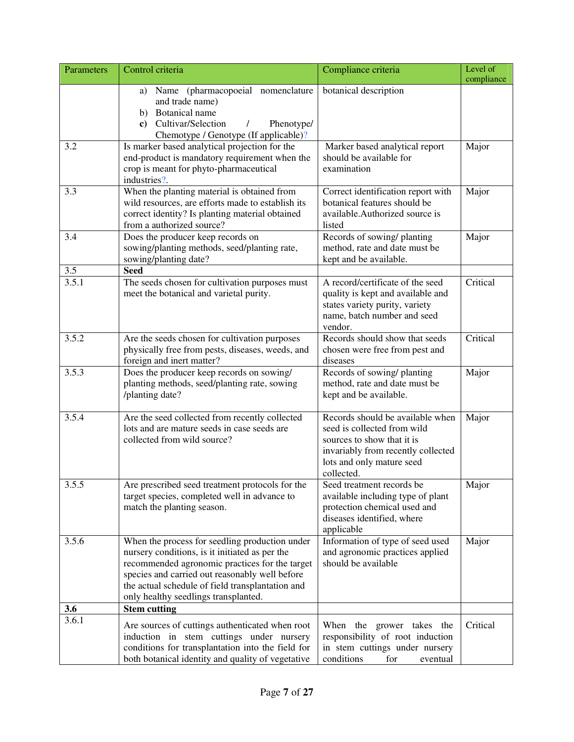| Parameters   | Control criteria                                                                                                                                                                                                                                                                                 | Compliance criteria                                                                                                                                                            | Level of<br>compliance |
|--------------|--------------------------------------------------------------------------------------------------------------------------------------------------------------------------------------------------------------------------------------------------------------------------------------------------|--------------------------------------------------------------------------------------------------------------------------------------------------------------------------------|------------------------|
|              | a) Name (pharmacopoeial nomenclature<br>and trade name)<br>b) Botanical name<br>c) Cultivar/Selection<br>Phenotype/<br>Chemotype / Genotype (If applicable)?                                                                                                                                     | botanical description                                                                                                                                                          |                        |
| 3.2          | Is marker based analytical projection for the<br>end-product is mandatory requirement when the<br>crop is meant for phyto-pharmaceutical<br>industries?.                                                                                                                                         | Marker based analytical report<br>should be available for<br>examination                                                                                                       | Major                  |
| 3.3          | When the planting material is obtained from<br>wild resources, are efforts made to establish its<br>correct identity? Is planting material obtained<br>from a authorized source?                                                                                                                 | Correct identification report with<br>botanical features should be<br>available.Authorized source is<br>listed                                                                 | Major                  |
| 3.4          | Does the producer keep records on<br>sowing/planting methods, seed/planting rate,<br>sowing/planting date?                                                                                                                                                                                       | Records of sowing/ planting<br>method, rate and date must be<br>kept and be available.                                                                                         | Major                  |
| 3.5<br>3.5.1 | <b>Seed</b><br>The seeds chosen for cultivation purposes must<br>meet the botanical and varietal purity.                                                                                                                                                                                         | A record/certificate of the seed<br>quality is kept and available and<br>states variety purity, variety<br>name, batch number and seed<br>vendor.                              | Critical               |
| 3.5.2        | Are the seeds chosen for cultivation purposes<br>physically free from pests, diseases, weeds, and<br>foreign and inert matter?                                                                                                                                                                   | Records should show that seeds<br>chosen were free from pest and<br>diseases                                                                                                   | Critical               |
| 3.5.3        | Does the producer keep records on sowing/<br>planting methods, seed/planting rate, sowing<br>/planting date?                                                                                                                                                                                     | Records of sowing/ planting<br>method, rate and date must be<br>kept and be available.                                                                                         | Major                  |
| 3.5.4        | Are the seed collected from recently collected<br>lots and are mature seeds in case seeds are<br>collected from wild source?                                                                                                                                                                     | Records should be available when<br>seed is collected from wild<br>sources to show that it is<br>invariably from recently collected<br>lots and only mature seed<br>collected. | Major                  |
| 3.5.5        | Are prescribed seed treatment protocols for the<br>target species, completed well in advance to<br>match the planting season.                                                                                                                                                                    | Seed treatment records be<br>available including type of plant<br>protection chemical used and<br>diseases identified, where<br>applicable                                     | Major                  |
| 3.5.6        | When the process for seedling production under<br>nursery conditions, is it initiated as per the<br>recommended agronomic practices for the target<br>species and carried out reasonably well before<br>the actual schedule of field transplantation and<br>only healthy seedlings transplanted. | Information of type of seed used<br>and agronomic practices applied<br>should be available                                                                                     | Major                  |
| 3.6<br>3.6.1 | <b>Stem cutting</b>                                                                                                                                                                                                                                                                              |                                                                                                                                                                                |                        |
|              | Are sources of cuttings authenticated when root<br>induction in stem cuttings under nursery<br>conditions for transplantation into the field for<br>both botanical identity and quality of vegetative                                                                                            | When the grower takes<br>the<br>responsibility of root induction<br>in stem cuttings under nursery<br>conditions<br>for<br>eventual                                            | Critical               |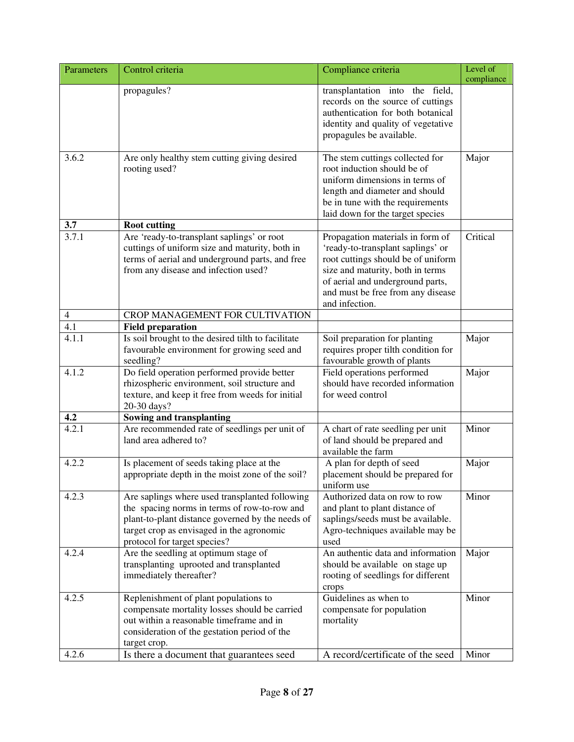| Parameters               | Control criteria                                                                                                                                                                                                                | Compliance criteria                                                                                                                                                                                                                        | Level of<br>compliance |
|--------------------------|---------------------------------------------------------------------------------------------------------------------------------------------------------------------------------------------------------------------------------|--------------------------------------------------------------------------------------------------------------------------------------------------------------------------------------------------------------------------------------------|------------------------|
|                          | propagules?                                                                                                                                                                                                                     | transplantation into the field,<br>records on the source of cuttings<br>authentication for both botanical<br>identity and quality of vegetative<br>propagules be available.                                                                |                        |
| 3.6.2                    | Are only healthy stem cutting giving desired<br>rooting used?                                                                                                                                                                   | The stem cuttings collected for<br>root induction should be of<br>uniform dimensions in terms of<br>length and diameter and should<br>be in tune with the requirements<br>laid down for the target species                                 | Major                  |
| 3.7                      | <b>Root cutting</b>                                                                                                                                                                                                             |                                                                                                                                                                                                                                            |                        |
| 3.7.1                    | Are 'ready-to-transplant saplings' or root<br>cuttings of uniform size and maturity, both in<br>terms of aerial and underground parts, and free<br>from any disease and infection used?                                         | Propagation materials in form of<br>'ready-to-transplant saplings' or<br>root cuttings should be of uniform<br>size and maturity, both in terms<br>of aerial and underground parts,<br>and must be free from any disease<br>and infection. | Critical               |
| $\overline{\mathcal{L}}$ | CROP MANAGEMENT FOR CULTIVATION                                                                                                                                                                                                 |                                                                                                                                                                                                                                            |                        |
| $\overline{4.1}$         | <b>Field preparation</b>                                                                                                                                                                                                        |                                                                                                                                                                                                                                            |                        |
| 4.1.1                    | Is soil brought to the desired tilth to facilitate<br>favourable environment for growing seed and<br>seedling?                                                                                                                  | Soil preparation for planting<br>requires proper tilth condition for<br>favourable growth of plants                                                                                                                                        | Major                  |
| 4.1.2                    | Do field operation performed provide better<br>rhizospheric environment, soil structure and<br>texture, and keep it free from weeds for initial<br>20-30 days?                                                                  | Field operations performed<br>should have recorded information<br>for weed control                                                                                                                                                         | Major                  |
| 4.2                      | <b>Sowing and transplanting</b>                                                                                                                                                                                                 |                                                                                                                                                                                                                                            |                        |
| 4.2.1                    | Are recommended rate of seedlings per unit of<br>land area adhered to?                                                                                                                                                          | A chart of rate seedling per unit<br>of land should be prepared and<br>available the farm                                                                                                                                                  | Minor                  |
| 4.2.2                    | Is placement of seeds taking place at the<br>appropriate depth in the moist zone of the soil?                                                                                                                                   | A plan for depth of seed<br>placement should be prepared for<br>uniform use                                                                                                                                                                | Major                  |
| 4.2.3                    | Are saplings where used transplanted following<br>the spacing norms in terms of row-to-row and<br>plant-to-plant distance governed by the needs of<br>target crop as envisaged in the agronomic<br>protocol for target species? | Authorized data on row to row<br>and plant to plant distance of<br>saplings/seeds must be available.<br>Agro-techniques available may be<br>used                                                                                           | Minor                  |
| 4.2.4                    | Are the seedling at optimum stage of<br>transplanting uprooted and transplanted<br>immediately thereafter?                                                                                                                      | An authentic data and information<br>should be available on stage up<br>rooting of seedlings for different<br>crops                                                                                                                        | Major                  |
| 4.2.5<br>4.2.6           | Replenishment of plant populations to<br>compensate mortality losses should be carried<br>out within a reasonable timeframe and in<br>consideration of the gestation period of the<br>target crop.                              | Guidelines as when to<br>compensate for population<br>mortality<br>A record/certificate of the seed                                                                                                                                        | Minor<br>Minor         |
|                          | Is there a document that guarantees seed                                                                                                                                                                                        |                                                                                                                                                                                                                                            |                        |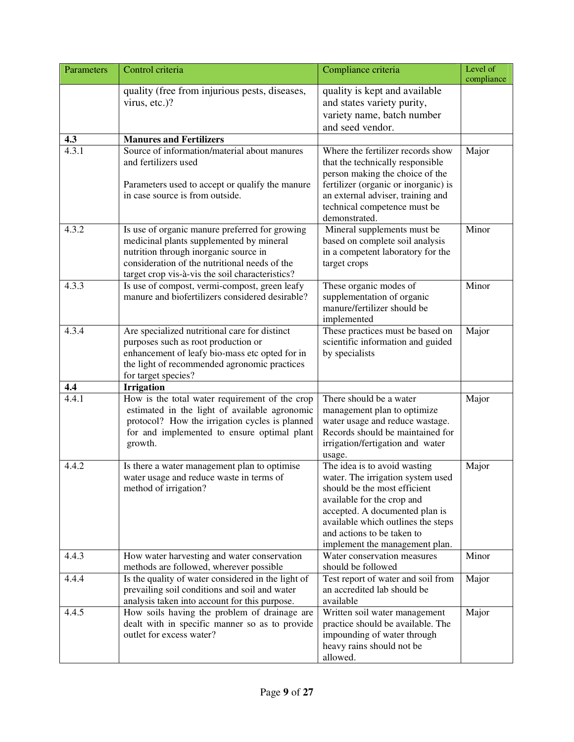| Parameters   | Level of<br>Control criteria<br>Compliance criteria<br>compliance                                                                                                                                                                       |                                                                                                                                                                                                                                                                         |       |  |  |
|--------------|-----------------------------------------------------------------------------------------------------------------------------------------------------------------------------------------------------------------------------------------|-------------------------------------------------------------------------------------------------------------------------------------------------------------------------------------------------------------------------------------------------------------------------|-------|--|--|
|              | quality (free from injurious pests, diseases,<br>virus, etc.)?                                                                                                                                                                          | quality is kept and available<br>and states variety purity,<br>variety name, batch number<br>and seed vendor.                                                                                                                                                           |       |  |  |
| 4.3          | <b>Manures and Fertilizers</b>                                                                                                                                                                                                          |                                                                                                                                                                                                                                                                         |       |  |  |
| 4.3.1        | Source of information/material about manures<br>and fertilizers used<br>Parameters used to accept or qualify the manure<br>in case source is from outside.                                                                              | Where the fertilizer records show<br>that the technically responsible<br>person making the choice of the<br>fertilizer (organic or inorganic) is<br>an external adviser, training and<br>technical competence must be<br>demonstrated.                                  | Major |  |  |
| 4.3.2        | Is use of organic manure preferred for growing<br>medicinal plants supplemented by mineral<br>nutrition through inorganic source in<br>consideration of the nutritional needs of the<br>target crop vis-à-vis the soil characteristics? | Mineral supplements must be<br>based on complete soil analysis<br>in a competent laboratory for the<br>target crops                                                                                                                                                     | Minor |  |  |
| 4.3.3        | Is use of compost, vermi-compost, green leafy<br>manure and biofertilizers considered desirable?                                                                                                                                        | These organic modes of<br>supplementation of organic<br>manure/fertilizer should be<br>implemented                                                                                                                                                                      | Minor |  |  |
| 4.3.4        | Are specialized nutritional care for distinct<br>purposes such as root production or<br>enhancement of leafy bio-mass etc opted for in<br>the light of recommended agronomic practices<br>for target species?                           | These practices must be based on<br>scientific information and guided<br>by specialists                                                                                                                                                                                 | Major |  |  |
| 4.4<br>4.4.1 | <b>Irrigation</b><br>How is the total water requirement of the crop<br>estimated in the light of available agronomic<br>protocol? How the irrigation cycles is planned<br>for and implemented to ensure optimal plant<br>growth.        | There should be a water<br>management plan to optimize<br>water usage and reduce wastage.<br>Records should be maintained for<br>irrigation/fertigation and water<br>usage.                                                                                             | Major |  |  |
| 4.4.2        | Is there a water management plan to optimise<br>water usage and reduce waste in terms of<br>method of irrigation?                                                                                                                       | The idea is to avoid wasting<br>water. The irrigation system used<br>should be the most efficient<br>available for the crop and<br>accepted. A documented plan is<br>available which outlines the steps<br>and actions to be taken to<br>implement the management plan. | Major |  |  |
| 4.4.3        | How water harvesting and water conservation<br>methods are followed, wherever possible                                                                                                                                                  | Water conservation measures<br>should be followed                                                                                                                                                                                                                       | Minor |  |  |
| 4.4.4        | Is the quality of water considered in the light of<br>prevailing soil conditions and soil and water<br>analysis taken into account for this purpose.                                                                                    | Test report of water and soil from<br>an accredited lab should be<br>available                                                                                                                                                                                          | Major |  |  |
| 4.4.5        | How soils having the problem of drainage are<br>dealt with in specific manner so as to provide<br>outlet for excess water?                                                                                                              | Written soil water management<br>practice should be available. The<br>impounding of water through<br>heavy rains should not be<br>allowed.                                                                                                                              | Major |  |  |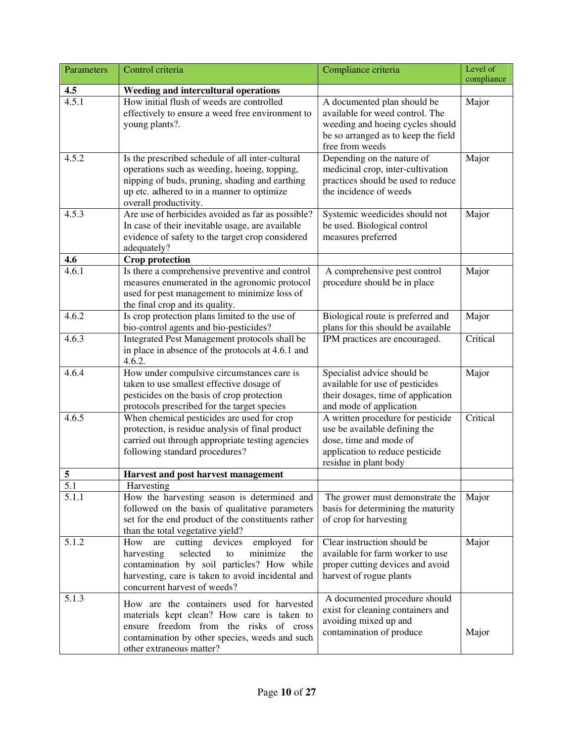| Parameters         | Control criteria                                                                                                                                                                                                                       | Compliance criteria                                                                                                                                          | Level of<br>compliance |
|--------------------|----------------------------------------------------------------------------------------------------------------------------------------------------------------------------------------------------------------------------------------|--------------------------------------------------------------------------------------------------------------------------------------------------------------|------------------------|
| 4.5                | Weeding and intercultural operations                                                                                                                                                                                                   |                                                                                                                                                              |                        |
| 4.5.1              | How initial flush of weeds are controlled<br>effectively to ensure a weed free environment to<br>young plants?.                                                                                                                        | A documented plan should be<br>available for weed control. The<br>weeding and hoeing cycles should<br>be so arranged as to keep the field<br>free from weeds | Major                  |
| 4.5.2              | Is the prescribed schedule of all inter-cultural<br>operations such as weeding, hoeing, topping,<br>nipping of buds, pruning, shading and earthing<br>up etc. adhered to in a manner to optimize<br>overall productivity.              | Depending on the nature of<br>medicinal crop, inter-cultivation<br>practices should be used to reduce<br>the incidence of weeds                              | Major                  |
| 4.5.3              | Are use of herbicides avoided as far as possible?<br>In case of their inevitable usage, are available<br>evidence of safety to the target crop considered<br>adequately?                                                               | Systemic weedicides should not<br>be used. Biological control<br>measures preferred                                                                          | Major                  |
| 4.6                | <b>Crop protection</b>                                                                                                                                                                                                                 |                                                                                                                                                              |                        |
| 4.6.1              | Is there a comprehensive preventive and control<br>measures enumerated in the agronomic protocol<br>used for pest management to minimize loss of<br>the final crop and its quality.                                                    | A comprehensive pest control<br>procedure should be in place                                                                                                 | Major                  |
| 4.6.2              | Is crop protection plans limited to the use of<br>bio-control agents and bio-pesticides?                                                                                                                                               | Biological route is preferred and<br>plans for this should be available                                                                                      | Major                  |
| 4.6.3              | Integrated Pest Management protocols shall be<br>in place in absence of the protocols at 4.6.1 and<br>4.6.2.                                                                                                                           | IPM practices are encouraged.                                                                                                                                | Critical               |
| 4.6.4              | How under compulsive circumstances care is<br>taken to use smallest effective dosage of<br>pesticides on the basis of crop protection<br>protocols prescribed for the target species                                                   | Specialist advice should be<br>available for use of pesticides<br>their dosages, time of application<br>and mode of application                              | Major                  |
| 4.6.5              | When chemical pesticides are used for crop<br>protection, is residue analysis of final product<br>carried out through appropriate testing agencies<br>following standard procedures?                                                   | A written procedure for pesticide<br>use be available defining the<br>dose, time and mode of<br>application to reduce pesticide<br>residue in plant body     | Critical               |
| 5                  | Harvest and post harvest management                                                                                                                                                                                                    |                                                                                                                                                              |                        |
| 5.1                | Harvesting                                                                                                                                                                                                                             |                                                                                                                                                              |                        |
| $\overline{5}.1.1$ | How the harvesting season is determined and<br>followed on the basis of qualitative parameters<br>set for the end product of the constituents rather<br>than the total vegetative yield?                                               | The grower must demonstrate the<br>basis for determining the maturity<br>of crop for harvesting                                                              | Major                  |
| 5.1.2              | cutting devices<br>for<br>How<br>employed<br>are<br>selected<br>minimize<br>harvesting<br>the<br>to<br>contamination by soil particles? How while<br>harvesting, care is taken to avoid incidental and<br>concurrent harvest of weeds? | Clear instruction should be<br>available for farm worker to use<br>proper cutting devices and avoid<br>harvest of rogue plants                               | Major                  |
| 5.1.3              | How are the containers used for harvested<br>materials kept clean? How care is taken to<br>ensure freedom from the risks of cross<br>contamination by other species, weeds and such<br>other extraneous matter?                        | A documented procedure should<br>exist for cleaning containers and<br>avoiding mixed up and<br>contamination of produce                                      | Major                  |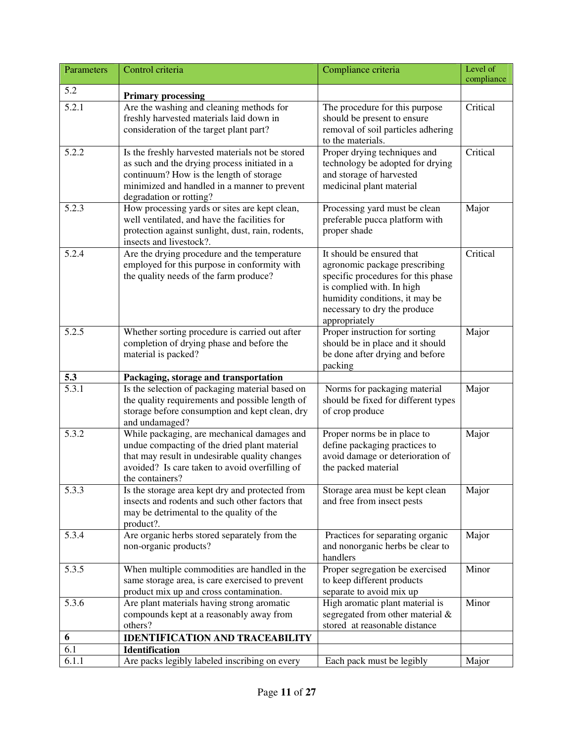| Parameters | Control criteria                                                                                   | Compliance criteria                                                 | Level of   |
|------------|----------------------------------------------------------------------------------------------------|---------------------------------------------------------------------|------------|
| 5.2        |                                                                                                    |                                                                     | compliance |
|            | <b>Primary processing</b>                                                                          |                                                                     |            |
| 5.2.1      | Are the washing and cleaning methods for                                                           | The procedure for this purpose                                      | Critical   |
|            | freshly harvested materials laid down in                                                           | should be present to ensure                                         |            |
|            | consideration of the target plant part?                                                            | removal of soil particles adhering<br>to the materials.             |            |
| 5.2.2      | Is the freshly harvested materials not be stored                                                   | Proper drying techniques and                                        | Critical   |
|            | as such and the drying process initiated in a                                                      | technology be adopted for drying                                    |            |
|            | continuum? How is the length of storage                                                            | and storage of harvested                                            |            |
|            | minimized and handled in a manner to prevent                                                       | medicinal plant material                                            |            |
|            | degradation or rotting?                                                                            |                                                                     |            |
| 5.2.3      | How processing yards or sites are kept clean,                                                      | Processing yard must be clean                                       | Major      |
|            | well ventilated, and have the facilities for                                                       | preferable pucca platform with                                      |            |
|            | protection against sunlight, dust, rain, rodents,                                                  | proper shade                                                        |            |
|            | insects and livestock?.                                                                            | It should be ensured that                                           |            |
| 5.2.4      | Are the drying procedure and the temperature                                                       |                                                                     | Critical   |
|            | employed for this purpose in conformity with<br>the quality needs of the farm produce?             | agronomic package prescribing<br>specific procedures for this phase |            |
|            |                                                                                                    | is complied with. In high                                           |            |
|            |                                                                                                    | humidity conditions, it may be                                      |            |
|            |                                                                                                    | necessary to dry the produce                                        |            |
|            |                                                                                                    | appropriately                                                       |            |
| 5.2.5      | Whether sorting procedure is carried out after                                                     | Proper instruction for sorting                                      | Major      |
|            | completion of drying phase and before the                                                          | should be in place and it should                                    |            |
|            | material is packed?                                                                                | be done after drying and before                                     |            |
|            |                                                                                                    | packing                                                             |            |
| 5.3        | Packaging, storage and transportation                                                              |                                                                     |            |
| 5.3.1      | Is the selection of packaging material based on<br>the quality requirements and possible length of | Norms for packaging material<br>should be fixed for different types | Major      |
|            | storage before consumption and kept clean, dry                                                     | of crop produce                                                     |            |
|            | and undamaged?                                                                                     |                                                                     |            |
| 5.3.2      | While packaging, are mechanical damages and                                                        | Proper norms be in place to                                         | Major      |
|            | undue compacting of the dried plant material                                                       | define packaging practices to                                       |            |
|            | that may result in undesirable quality changes                                                     | avoid damage or deterioration of                                    |            |
|            | avoided? Is care taken to avoid overfilling of                                                     | the packed material                                                 |            |
|            | the containers?                                                                                    |                                                                     |            |
| 5.3.3      | Is the storage area kept dry and protected from                                                    | Storage area must be kept clean                                     | Major      |
|            | insects and rodents and such other factors that                                                    | and free from insect pests                                          |            |
|            | may be detrimental to the quality of the<br>product?.                                              |                                                                     |            |
| 5.3.4      | Are organic herbs stored separately from the                                                       | Practices for separating organic                                    | Major      |
|            | non-organic products?                                                                              | and nonorganic herbs be clear to                                    |            |
|            |                                                                                                    | handlers                                                            |            |
| 5.3.5      | When multiple commodities are handled in the                                                       | Proper segregation be exercised                                     | Minor      |
|            | same storage area, is care exercised to prevent                                                    | to keep different products                                          |            |
|            | product mix up and cross contamination.                                                            | separate to avoid mix up                                            |            |
| 5.3.6      | Are plant materials having strong aromatic                                                         | High aromatic plant material is                                     | Minor      |
|            | compounds kept at a reasonably away from                                                           | segregated from other material &                                    |            |
|            | others?                                                                                            | stored at reasonable distance                                       |            |
| 6          | <b>IDENTIFICATION AND TRACEABILITY</b>                                                             |                                                                     |            |
| 6.1        | <b>Identification</b>                                                                              |                                                                     |            |
| 6.1.1      | Are packs legibly labeled inscribing on every                                                      | Each pack must be legibly                                           | Major      |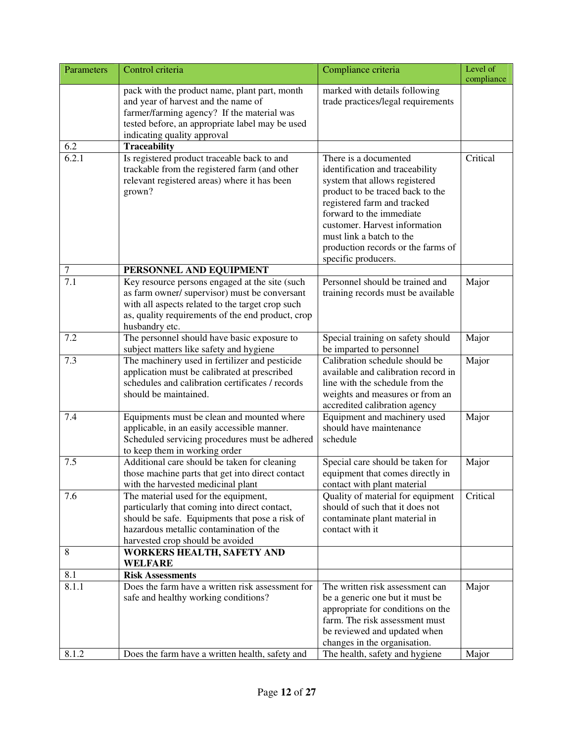| Parameters | Control criteria<br>Compliance criteria                                                                                                                                                                                    |                                                                                                                                                                                                                                                                                                                    |                |  |
|------------|----------------------------------------------------------------------------------------------------------------------------------------------------------------------------------------------------------------------------|--------------------------------------------------------------------------------------------------------------------------------------------------------------------------------------------------------------------------------------------------------------------------------------------------------------------|----------------|--|
|            | pack with the product name, plant part, month<br>and year of harvest and the name of<br>farmer/farming agency? If the material was<br>tested before, an appropriate label may be used<br>indicating quality approval       | marked with details following<br>trade practices/legal requirements                                                                                                                                                                                                                                                | compliance     |  |
| 6.2        | Traceability                                                                                                                                                                                                               |                                                                                                                                                                                                                                                                                                                    |                |  |
| 6.2.1      | Is registered product traceable back to and<br>trackable from the registered farm (and other<br>relevant registered areas) where it has been<br>grown?                                                                     | There is a documented<br>identification and traceability<br>system that allows registered<br>product to be traced back to the<br>registered farm and tracked<br>forward to the immediate<br>customer. Harvest information<br>must link a batch to the<br>production records or the farms of<br>specific producers. | Critical       |  |
| 7          | PERSONNEL AND EQUIPMENT                                                                                                                                                                                                    |                                                                                                                                                                                                                                                                                                                    |                |  |
| 7.1        | Key resource persons engaged at the site (such<br>as farm owner/ supervisor) must be conversant<br>with all aspects related to the target crop such<br>as, quality requirements of the end product, crop<br>husbandry etc. | Personnel should be trained and<br>training records must be available                                                                                                                                                                                                                                              | Major          |  |
| 7.2        | The personnel should have basic exposure to<br>subject matters like safety and hygiene                                                                                                                                     | Special training on safety should<br>be imparted to personnel                                                                                                                                                                                                                                                      | Major          |  |
| 7.3<br>7.4 | The machinery used in fertilizer and pesticide<br>application must be calibrated at prescribed<br>schedules and calibration certificates / records<br>should be maintained.<br>Equipments must be clean and mounted where  | Calibration schedule should be<br>available and calibration record in<br>line with the schedule from the<br>weights and measures or from an<br>accredited calibration agency<br>Equipment and machinery used                                                                                                       | Major<br>Major |  |
|            | applicable, in an easily accessible manner.<br>Scheduled servicing procedures must be adhered<br>to keep them in working order                                                                                             | should have maintenance<br>schedule                                                                                                                                                                                                                                                                                |                |  |
| 7.5        | Additional care should be taken for cleaning<br>those machine parts that get into direct contact<br>with the harvested medicinal plant                                                                                     | Special care should be taken for<br>equipment that comes directly in<br>contact with plant material                                                                                                                                                                                                                | Major          |  |
| 7.6        | The material used for the equipment,<br>particularly that coming into direct contact,<br>should be safe. Equipments that pose a risk of<br>hazardous metallic contamination of the<br>harvested crop should be avoided     | Quality of material for equipment<br>should of such that it does not<br>contaminate plant material in<br>contact with it                                                                                                                                                                                           | Critical       |  |
| 8          | <b>WORKERS HEALTH, SAFETY AND</b><br><b>WELFARE</b>                                                                                                                                                                        |                                                                                                                                                                                                                                                                                                                    |                |  |
| 8.1        | <b>Risk Assessments</b>                                                                                                                                                                                                    |                                                                                                                                                                                                                                                                                                                    |                |  |
| 8.1.1      | Does the farm have a written risk assessment for<br>safe and healthy working conditions?                                                                                                                                   | The written risk assessment can<br>be a generic one but it must be<br>appropriate for conditions on the<br>farm. The risk assessment must<br>be reviewed and updated when<br>changes in the organisation.                                                                                                          | Major          |  |
| 8.1.2      | Does the farm have a written health, safety and                                                                                                                                                                            | The health, safety and hygiene                                                                                                                                                                                                                                                                                     | Major          |  |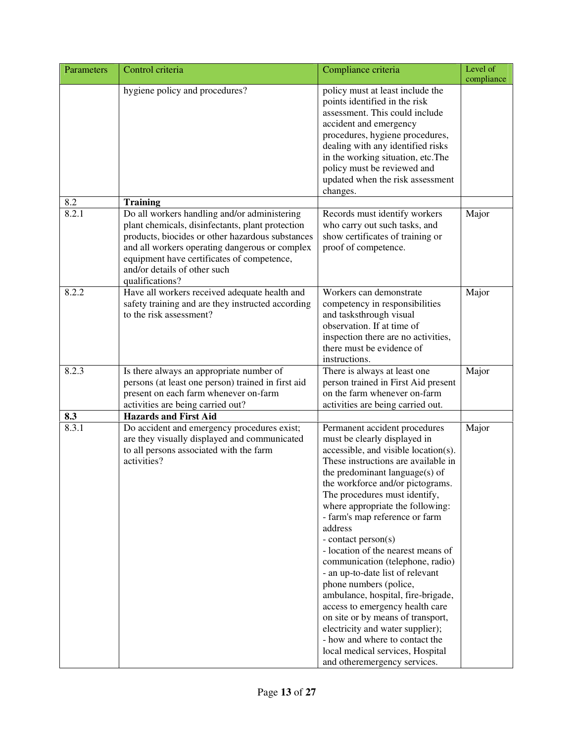| Parameters   | Control criteria                                                                                                                                                                                                                                                                                        | Compliance criteria                                                                                                                                                                                                                                                                                                                                                                                                                                                                                                                                                                                                                                                                                                                                             | Level of<br>compliance |
|--------------|---------------------------------------------------------------------------------------------------------------------------------------------------------------------------------------------------------------------------------------------------------------------------------------------------------|-----------------------------------------------------------------------------------------------------------------------------------------------------------------------------------------------------------------------------------------------------------------------------------------------------------------------------------------------------------------------------------------------------------------------------------------------------------------------------------------------------------------------------------------------------------------------------------------------------------------------------------------------------------------------------------------------------------------------------------------------------------------|------------------------|
|              | hygiene policy and procedures?                                                                                                                                                                                                                                                                          | policy must at least include the<br>points identified in the risk<br>assessment. This could include<br>accident and emergency<br>procedures, hygiene procedures,<br>dealing with any identified risks<br>in the working situation, etc. The<br>policy must be reviewed and<br>updated when the risk assessment<br>changes.                                                                                                                                                                                                                                                                                                                                                                                                                                      |                        |
| 8.2          | <b>Training</b>                                                                                                                                                                                                                                                                                         |                                                                                                                                                                                                                                                                                                                                                                                                                                                                                                                                                                                                                                                                                                                                                                 |                        |
| 8.2.1        | Do all workers handling and/or administering<br>plant chemicals, disinfectants, plant protection<br>products, biocides or other hazardous substances<br>and all workers operating dangerous or complex<br>equipment have certificates of competence,<br>and/or details of other such<br>qualifications? | Records must identify workers<br>who carry out such tasks, and<br>show certificates of training or<br>proof of competence.                                                                                                                                                                                                                                                                                                                                                                                                                                                                                                                                                                                                                                      | Major                  |
| 8.2.2        | Have all workers received adequate health and<br>safety training and are they instructed according<br>to the risk assessment?                                                                                                                                                                           | Workers can demonstrate<br>competency in responsibilities<br>and tasksthrough visual<br>observation. If at time of<br>inspection there are no activities,<br>there must be evidence of<br>instructions.                                                                                                                                                                                                                                                                                                                                                                                                                                                                                                                                                         | Major                  |
| 8.2.3        | Is there always an appropriate number of<br>persons (at least one person) trained in first aid<br>present on each farm whenever on-farm<br>activities are being carried out?                                                                                                                            | There is always at least one<br>person trained in First Aid present<br>on the farm whenever on-farm<br>activities are being carried out.                                                                                                                                                                                                                                                                                                                                                                                                                                                                                                                                                                                                                        | Major                  |
| 8.3<br>8.3.1 | <b>Hazards and First Aid</b><br>Do accident and emergency procedures exist;<br>are they visually displayed and communicated<br>to all persons associated with the farm<br>activities?                                                                                                                   | Permanent accident procedures<br>must be clearly displayed in<br>accessible, and visible location(s).<br>These instructions are available in<br>the predominant language(s) of<br>the workforce and/or pictograms.<br>The procedures must identify,<br>where appropriate the following:<br>- farm's map reference or farm<br>address<br>- contact person(s)<br>- location of the nearest means of<br>communication (telephone, radio)<br>- an up-to-date list of relevant<br>phone numbers (police,<br>ambulance, hospital, fire-brigade,<br>access to emergency health care<br>on site or by means of transport,<br>electricity and water supplier);<br>- how and where to contact the<br>local medical services, Hospital<br>and other<br>emergency services. | Major                  |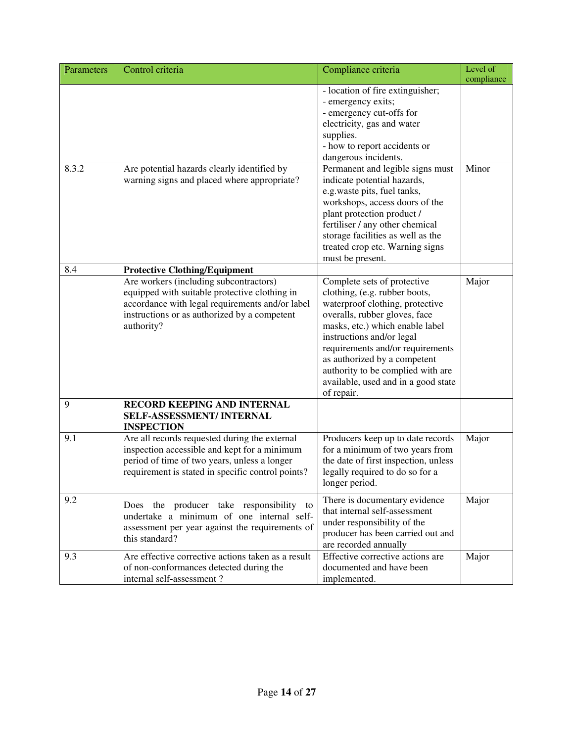| Parameters | Control criteria                                                                                                                                                                                                                                                                                                                                                                            | Compliance criteria                                                                                                                                                                                                                                                                                                                                            | Level of<br>compliance |
|------------|---------------------------------------------------------------------------------------------------------------------------------------------------------------------------------------------------------------------------------------------------------------------------------------------------------------------------------------------------------------------------------------------|----------------------------------------------------------------------------------------------------------------------------------------------------------------------------------------------------------------------------------------------------------------------------------------------------------------------------------------------------------------|------------------------|
|            |                                                                                                                                                                                                                                                                                                                                                                                             | - location of fire extinguisher;<br>- emergency exits;<br>- emergency cut-offs for<br>electricity, gas and water<br>supplies.<br>- how to report accidents or<br>dangerous incidents.                                                                                                                                                                          |                        |
| 8.3.2      | Permanent and legible signs must<br>Are potential hazards clearly identified by<br>warning signs and placed where appropriate?<br>indicate potential hazards,<br>e.g.waste pits, fuel tanks,<br>workshops, access doors of the<br>plant protection product /<br>fertiliser / any other chemical<br>storage facilities as well as the<br>treated crop etc. Warning signs<br>must be present. |                                                                                                                                                                                                                                                                                                                                                                | Minor                  |
| 8.4        | <b>Protective Clothing/Equipment</b>                                                                                                                                                                                                                                                                                                                                                        |                                                                                                                                                                                                                                                                                                                                                                |                        |
|            | Are workers (including subcontractors)<br>equipped with suitable protective clothing in<br>accordance with legal requirements and/or label<br>instructions or as authorized by a competent<br>authority?                                                                                                                                                                                    | Complete sets of protective<br>clothing, (e.g. rubber boots,<br>waterproof clothing, protective<br>overalls, rubber gloves, face<br>masks, etc.) which enable label<br>instructions and/or legal<br>requirements and/or requirements<br>as authorized by a competent<br>authority to be complied with are<br>available, used and in a good state<br>of repair. | Major                  |
| 9          | RECORD KEEPING AND INTERNAL<br><b>SELF-ASSESSMENT/INTERNAL</b><br><b>INSPECTION</b>                                                                                                                                                                                                                                                                                                         |                                                                                                                                                                                                                                                                                                                                                                |                        |
| 9.1        | Are all records requested during the external<br>inspection accessible and kept for a minimum<br>period of time of two years, unless a longer<br>requirement is stated in specific control points?                                                                                                                                                                                          | Producers keep up to date records<br>for a minimum of two years from<br>the date of first inspection, unless<br>legally required to do so for a<br>longer period.                                                                                                                                                                                              | Major                  |
| 9.2        | Does the producer take responsibility<br>to<br>undertake a minimum of one internal self-<br>assessment per year against the requirements of<br>this standard?                                                                                                                                                                                                                               | There is documentary evidence<br>that internal self-assessment<br>under responsibility of the<br>producer has been carried out and<br>are recorded annually                                                                                                                                                                                                    | Major                  |
| 9.3        | Are effective corrective actions taken as a result<br>of non-conformances detected during the<br>internal self-assessment ?                                                                                                                                                                                                                                                                 | Effective corrective actions are<br>documented and have been<br>implemented.                                                                                                                                                                                                                                                                                   | Major                  |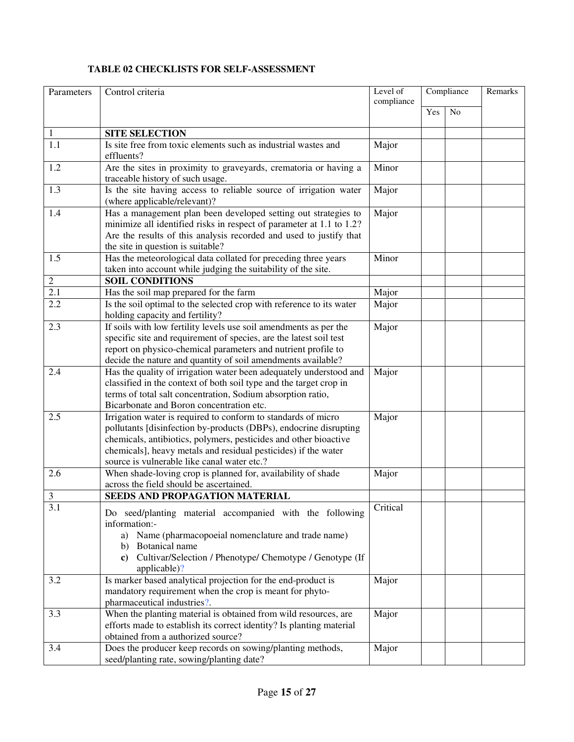## **TABLE 02 CHECKLISTS FOR SELF-ASSESSMENT**

| Parameters       | Control criteria                                                                                                                                                                                                                                                                                                        | Compliance<br>Level of<br>compliance |     | Remarks        |  |
|------------------|-------------------------------------------------------------------------------------------------------------------------------------------------------------------------------------------------------------------------------------------------------------------------------------------------------------------------|--------------------------------------|-----|----------------|--|
|                  |                                                                                                                                                                                                                                                                                                                         |                                      | Yes | N <sub>o</sub> |  |
|                  |                                                                                                                                                                                                                                                                                                                         |                                      |     |                |  |
| $\mathbf{1}$     | <b>SITE SELECTION</b>                                                                                                                                                                                                                                                                                                   |                                      |     |                |  |
| 1.1              | Is site free from toxic elements such as industrial wastes and<br>effluents?                                                                                                                                                                                                                                            | Major                                |     |                |  |
| 1.2              | Are the sites in proximity to graveyards, crematoria or having a<br>traceable history of such usage.                                                                                                                                                                                                                    | Minor                                |     |                |  |
| 1.3              | Is the site having access to reliable source of irrigation water<br>(where applicable/relevant)?                                                                                                                                                                                                                        | Major                                |     |                |  |
| 1.4              | Has a management plan been developed setting out strategies to<br>minimize all identified risks in respect of parameter at 1.1 to 1.2?<br>Are the results of this analysis recorded and used to justify that<br>the site in question is suitable?                                                                       | Major                                |     |                |  |
| 1.5              | Has the meteorological data collated for preceding three years<br>taken into account while judging the suitability of the site.                                                                                                                                                                                         | Minor                                |     |                |  |
| $\boldsymbol{2}$ | <b>SOIL CONDITIONS</b>                                                                                                                                                                                                                                                                                                  |                                      |     |                |  |
| 2.1              | Has the soil map prepared for the farm                                                                                                                                                                                                                                                                                  | Major                                |     |                |  |
| 2.2              | Is the soil optimal to the selected crop with reference to its water<br>holding capacity and fertility?                                                                                                                                                                                                                 | Major                                |     |                |  |
| 2.3              | If soils with low fertility levels use soil amendments as per the<br>specific site and requirement of species, are the latest soil test<br>report on physico-chemical parameters and nutrient profile to<br>decide the nature and quantity of soil amendments available?                                                | Major                                |     |                |  |
| 2.4              | Has the quality of irrigation water been adequately understood and<br>classified in the context of both soil type and the target crop in<br>terms of total salt concentration, Sodium absorption ratio,<br>Bicarbonate and Boron concentration etc.                                                                     | Major                                |     |                |  |
| 2.5              | Irrigation water is required to conform to standards of micro<br>pollutants [disinfection by-products (DBPs), endocrine disrupting<br>chemicals, antibiotics, polymers, pesticides and other bioactive<br>chemicals], heavy metals and residual pesticides) if the water<br>source is vulnerable like canal water etc.? | Major                                |     |                |  |
| 2.6              | When shade-loving crop is planned for, availability of shade<br>across the field should be ascertained.                                                                                                                                                                                                                 | Major                                |     |                |  |
| 3                | SEEDS AND PROPAGATION MATERIAL                                                                                                                                                                                                                                                                                          |                                      |     |                |  |
| 3.1              | Do seed/planting material accompanied with the following<br>information:-<br>Name (pharmacopoeial nomenclature and trade name)<br>a)<br>Botanical name<br>b)<br>Cultivar/Selection / Phenotype/ Chemotype / Genotype (If<br>$\bf c)$<br>applicable)?                                                                    | Critical                             |     |                |  |
| 3.2              | Is marker based analytical projection for the end-product is<br>mandatory requirement when the crop is meant for phyto-<br>pharmaceutical industries?.                                                                                                                                                                  | Major                                |     |                |  |
| 3.3              | When the planting material is obtained from wild resources, are<br>efforts made to establish its correct identity? Is planting material<br>obtained from a authorized source?                                                                                                                                           | Major                                |     |                |  |
| 3.4              | Does the producer keep records on sowing/planting methods,<br>seed/planting rate, sowing/planting date?                                                                                                                                                                                                                 | Major                                |     |                |  |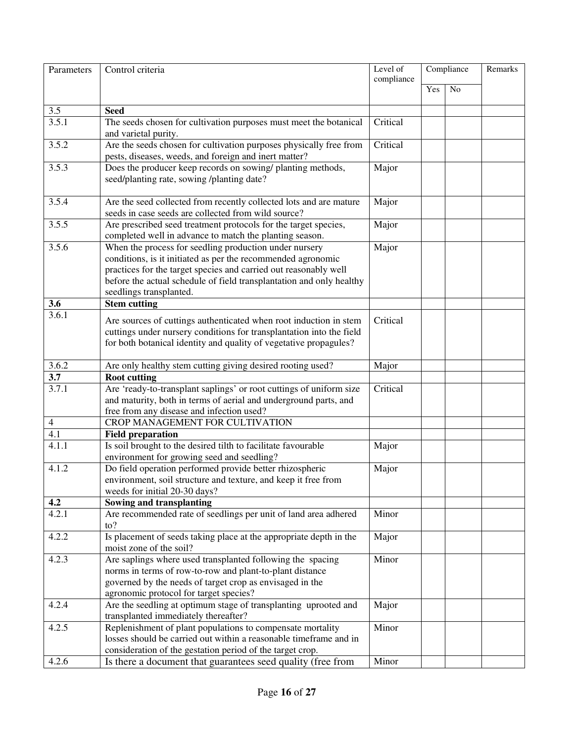| Parameters         | Control criteria                                                                                                                                                                                                                                                                              | Level of<br>compliance | Compliance |    | Remarks |
|--------------------|-----------------------------------------------------------------------------------------------------------------------------------------------------------------------------------------------------------------------------------------------------------------------------------------------|------------------------|------------|----|---------|
|                    |                                                                                                                                                                                                                                                                                               |                        | Yes        | No |         |
|                    |                                                                                                                                                                                                                                                                                               |                        |            |    |         |
| 3.5<br>3.5.1       | <b>Seed</b>                                                                                                                                                                                                                                                                                   | Critical               |            |    |         |
|                    | The seeds chosen for cultivation purposes must meet the botanical<br>and varietal purity.                                                                                                                                                                                                     |                        |            |    |         |
| 3.5.2              | Are the seeds chosen for cultivation purposes physically free from<br>pests, diseases, weeds, and foreign and inert matter?                                                                                                                                                                   | Critical               |            |    |         |
| 3.5.3              | Does the producer keep records on sowing/ planting methods,<br>seed/planting rate, sowing /planting date?                                                                                                                                                                                     | Major                  |            |    |         |
| 3.5.4              | Are the seed collected from recently collected lots and are mature<br>seeds in case seeds are collected from wild source?                                                                                                                                                                     | Major                  |            |    |         |
| 3.5.5              | Are prescribed seed treatment protocols for the target species,<br>completed well in advance to match the planting season.                                                                                                                                                                    | Major                  |            |    |         |
| 3.5.6              | When the process for seedling production under nursery<br>conditions, is it initiated as per the recommended agronomic<br>practices for the target species and carried out reasonably well<br>before the actual schedule of field transplantation and only healthy<br>seedlings transplanted. | Major                  |            |    |         |
| 3.6                | <b>Stem cutting</b>                                                                                                                                                                                                                                                                           |                        |            |    |         |
| $\overline{3.6.1}$ | Are sources of cuttings authenticated when root induction in stem<br>cuttings under nursery conditions for transplantation into the field<br>for both botanical identity and quality of vegetative propagules?                                                                                | Critical               |            |    |         |
| 3.6.2              | Are only healthy stem cutting giving desired rooting used?                                                                                                                                                                                                                                    | Major                  |            |    |         |
| $\overline{3.7}$   | <b>Root cutting</b>                                                                                                                                                                                                                                                                           |                        |            |    |         |
| 3.7.1              | Are 'ready-to-transplant saplings' or root cuttings of uniform size<br>and maturity, both in terms of aerial and underground parts, and<br>free from any disease and infection used?                                                                                                          | Critical               |            |    |         |
| $\overline{4}$     | CROP MANAGEMENT FOR CULTIVATION                                                                                                                                                                                                                                                               |                        |            |    |         |
| $\overline{4.1}$   | <b>Field preparation</b>                                                                                                                                                                                                                                                                      |                        |            |    |         |
| 4.1.1              | Is soil brought to the desired tilth to facilitate favourable<br>environment for growing seed and seedling?                                                                                                                                                                                   | Major                  |            |    |         |
| 4.1.2              | Do field operation performed provide better rhizospheric<br>environment, soil structure and texture, and keep it free from<br>weeds for initial 20-30 days?                                                                                                                                   | Major                  |            |    |         |
| 4.2                | Sowing and transplanting                                                                                                                                                                                                                                                                      |                        |            |    |         |
| 4.2.1              | Are recommended rate of seedlings per unit of land area adhered<br>to?                                                                                                                                                                                                                        | Minor                  |            |    |         |
| 4.2.2              | Is placement of seeds taking place at the appropriate depth in the<br>moist zone of the soil?                                                                                                                                                                                                 | Major                  |            |    |         |
| 4.2.3              | Are saplings where used transplanted following the spacing<br>norms in terms of row-to-row and plant-to-plant distance<br>governed by the needs of target crop as envisaged in the<br>agronomic protocol for target species?                                                                  | Minor                  |            |    |         |
| 4.2.4              | Are the seedling at optimum stage of transplanting uprooted and<br>transplanted immediately thereafter?                                                                                                                                                                                       | Major                  |            |    |         |
| 4.2.5              | Replenishment of plant populations to compensate mortality<br>losses should be carried out within a reasonable timeframe and in<br>consideration of the gestation period of the target crop.                                                                                                  | Minor                  |            |    |         |
| 4.2.6              | Is there a document that guarantees seed quality (free from                                                                                                                                                                                                                                   | Minor                  |            |    |         |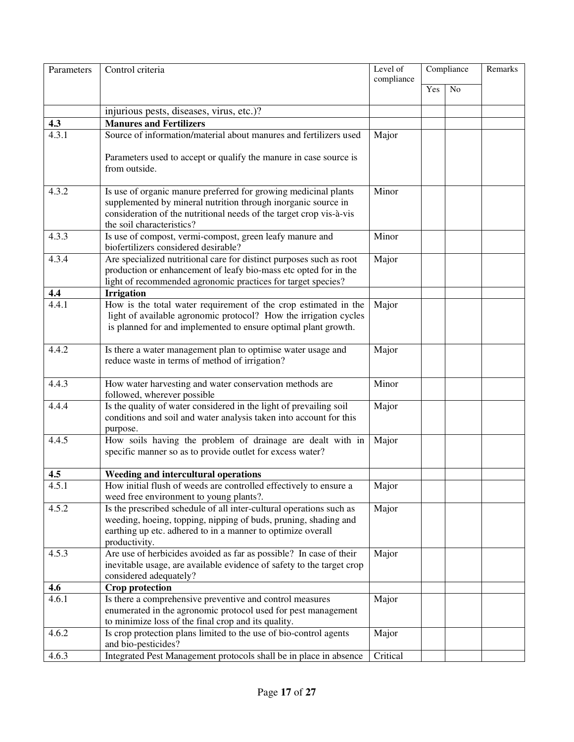| Parameters   | Control criteria                                                                                             | Level of   | Compliance |                | Remarks |
|--------------|--------------------------------------------------------------------------------------------------------------|------------|------------|----------------|---------|
|              |                                                                                                              | compliance |            |                |         |
|              |                                                                                                              |            | Yes        | N <sub>o</sub> |         |
|              | injurious pests, diseases, virus, etc.)?                                                                     |            |            |                |         |
| 4.3          | <b>Manures and Fertilizers</b>                                                                               |            |            |                |         |
| 4.3.1        | Source of information/material about manures and fertilizers used                                            | Major      |            |                |         |
|              |                                                                                                              |            |            |                |         |
|              | Parameters used to accept or qualify the manure in case source is                                            |            |            |                |         |
|              | from outside.                                                                                                |            |            |                |         |
|              |                                                                                                              |            |            |                |         |
| 4.3.2        | Is use of organic manure preferred for growing medicinal plants                                              | Minor      |            |                |         |
|              | supplemented by mineral nutrition through inorganic source in                                                |            |            |                |         |
|              | consideration of the nutritional needs of the target crop vis-à-vis                                          |            |            |                |         |
| 4.3.3        | the soil characteristics?                                                                                    | Minor      |            |                |         |
|              | Is use of compost, vermi-compost, green leafy manure and<br>biofertilizers considered desirable?             |            |            |                |         |
| 4.3.4        | Are specialized nutritional care for distinct purposes such as root                                          | Major      |            |                |         |
|              | production or enhancement of leafy bio-mass etc opted for in the                                             |            |            |                |         |
|              | light of recommended agronomic practices for target species?                                                 |            |            |                |         |
| 4.4          | <b>Irrigation</b>                                                                                            |            |            |                |         |
| 4.4.1        | How is the total water requirement of the crop estimated in the                                              | Major      |            |                |         |
|              | light of available agronomic protocol? How the irrigation cycles                                             |            |            |                |         |
|              | is planned for and implemented to ensure optimal plant growth.                                               |            |            |                |         |
|              |                                                                                                              |            |            |                |         |
| 4.4.2        | Is there a water management plan to optimise water usage and                                                 | Major      |            |                |         |
|              | reduce waste in terms of method of irrigation?                                                               |            |            |                |         |
| 4.4.3        | How water harvesting and water conservation methods are                                                      | Minor      |            |                |         |
|              | followed, wherever possible                                                                                  |            |            |                |         |
| 4.4.4        | Is the quality of water considered in the light of prevailing soil                                           | Major      |            |                |         |
|              | conditions and soil and water analysis taken into account for this                                           |            |            |                |         |
|              | purpose.                                                                                                     |            |            |                |         |
| 4.4.5        | How soils having the problem of drainage are dealt with in                                                   | Major      |            |                |         |
|              | specific manner so as to provide outlet for excess water?                                                    |            |            |                |         |
|              |                                                                                                              |            |            |                |         |
| 4.5<br>4.5.1 | Weeding and intercultural operations                                                                         |            |            |                |         |
|              | How initial flush of weeds are controlled effectively to ensure a<br>weed free environment to young plants?. | Major      |            |                |         |
| 4.5.2        | Is the prescribed schedule of all inter-cultural operations such as                                          | Major      |            |                |         |
|              | weeding, hoeing, topping, nipping of buds, pruning, shading and                                              |            |            |                |         |
|              | earthing up etc. adhered to in a manner to optimize overall                                                  |            |            |                |         |
|              | productivity.                                                                                                |            |            |                |         |
| 4.5.3        | Are use of herbicides avoided as far as possible? In case of their                                           | Major      |            |                |         |
|              | inevitable usage, are available evidence of safety to the target crop                                        |            |            |                |         |
|              | considered adequately?                                                                                       |            |            |                |         |
| 4.6          | <b>Crop protection</b>                                                                                       |            |            |                |         |
| 4.6.1        | Is there a comprehensive preventive and control measures                                                     | Major      |            |                |         |
|              | enumerated in the agronomic protocol used for pest management                                                |            |            |                |         |
| 4.6.2        | to minimize loss of the final crop and its quality.                                                          |            |            |                |         |
|              | Is crop protection plans limited to the use of bio-control agents<br>and bio-pesticides?                     | Major      |            |                |         |
| 4.6.3        | Integrated Pest Management protocols shall be in place in absence                                            | Critical   |            |                |         |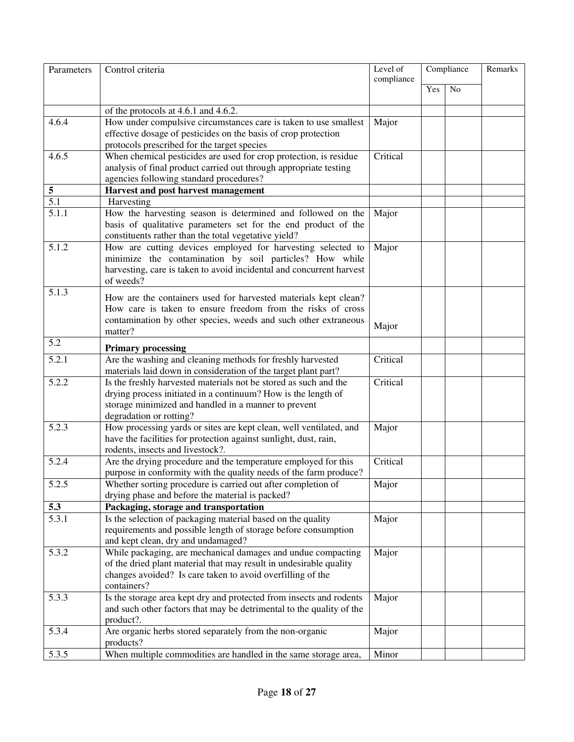| Parameters       | Control criteria                                                                  | Level of<br>compliance | Compliance |                | Remarks |
|------------------|-----------------------------------------------------------------------------------|------------------------|------------|----------------|---------|
|                  |                                                                                   |                        | Yes        | N <sub>o</sub> |         |
|                  | of the protocols at 4.6.1 and $\overline{4.6.2}$ .                                |                        |            |                |         |
| 4.6.4            | How under compulsive circumstances care is taken to use smallest                  | Major                  |            |                |         |
|                  | effective dosage of pesticides on the basis of crop protection                    |                        |            |                |         |
|                  | protocols prescribed for the target species                                       |                        |            |                |         |
| 4.6.5            | When chemical pesticides are used for crop protection, is residue                 | Critical               |            |                |         |
|                  | analysis of final product carried out through appropriate testing                 |                        |            |                |         |
|                  | agencies following standard procedures?                                           |                        |            |                |         |
| 5                | Harvest and post harvest management                                               |                        |            |                |         |
| $\overline{5.1}$ | Harvesting                                                                        |                        |            |                |         |
| 5.1.1            | How the harvesting season is determined and followed on the                       | Major                  |            |                |         |
|                  | basis of qualitative parameters set for the end product of the                    |                        |            |                |         |
|                  | constituents rather than the total vegetative yield?                              |                        |            |                |         |
| 5.1.2            | How are cutting devices employed for harvesting selected to                       | Major                  |            |                |         |
|                  | minimize the contamination by soil particles? How while                           |                        |            |                |         |
|                  | harvesting, care is taken to avoid incidental and concurrent harvest              |                        |            |                |         |
|                  | of weeds?                                                                         |                        |            |                |         |
| 5.1.3            | How are the containers used for harvested materials kept clean?                   |                        |            |                |         |
|                  | How care is taken to ensure freedom from the risks of cross                       |                        |            |                |         |
|                  | contamination by other species, weeds and such other extraneous                   |                        |            |                |         |
|                  | matter?                                                                           | Major                  |            |                |         |
| 5.2              | <b>Primary processing</b>                                                         |                        |            |                |         |
| 5.2.1            | Are the washing and cleaning methods for freshly harvested                        | Critical               |            |                |         |
|                  | materials laid down in consideration of the target plant part?                    |                        |            |                |         |
| 5.2.2            | Is the freshly harvested materials not be stored as such and the                  | Critical               |            |                |         |
|                  | drying process initiated in a continuum? How is the length of                     |                        |            |                |         |
|                  | storage minimized and handled in a manner to prevent                              |                        |            |                |         |
|                  | degradation or rotting?                                                           |                        |            |                |         |
| 5.2.3            | How processing yards or sites are kept clean, well ventilated, and                | Major                  |            |                |         |
|                  | have the facilities for protection against sunlight, dust, rain,                  |                        |            |                |         |
|                  | rodents, insects and livestock?.                                                  |                        |            |                |         |
| 5.2.4            | Are the drying procedure and the temperature employed for this                    | Critical               |            |                |         |
|                  | purpose in conformity with the quality needs of the farm produce?                 |                        |            |                |         |
| 5.2.5            | Whether sorting procedure is carried out after completion of                      | Major                  |            |                |         |
|                  | drying phase and before the material is packed?                                   |                        |            |                |         |
| 5.3              | Packaging, storage and transportation                                             |                        |            |                |         |
| 5.3.1            | Is the selection of packaging material based on the quality                       | Major                  |            |                |         |
|                  | requirements and possible length of storage before consumption                    |                        |            |                |         |
|                  | and kept clean, dry and undamaged?                                                |                        |            |                |         |
| 5.3.2            | While packaging, are mechanical damages and undue compacting                      | Major                  |            |                |         |
|                  | of the dried plant material that may result in undesirable quality                |                        |            |                |         |
|                  | changes avoided? Is care taken to avoid overfilling of the                        |                        |            |                |         |
|                  | containers?                                                                       |                        |            |                |         |
| 5.3.3            | Is the storage area kept dry and protected from insects and rodents               | Major                  |            |                |         |
|                  | and such other factors that may be detrimental to the quality of the<br>product?. |                        |            |                |         |
| 5.3.4            | Are organic herbs stored separately from the non-organic                          | Major                  |            |                |         |
|                  | products?                                                                         |                        |            |                |         |
| 5.3.5            | When multiple commodities are handled in the same storage area,                   | Minor                  |            |                |         |
|                  |                                                                                   |                        |            |                |         |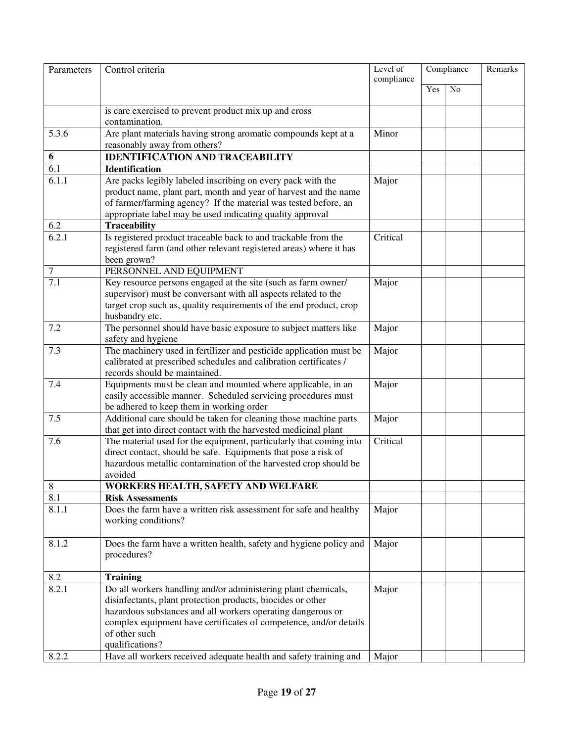| Parameters       | Control criteria                                                                 | Level of<br>Compliance<br>compliance |     |                | Remarks |
|------------------|----------------------------------------------------------------------------------|--------------------------------------|-----|----------------|---------|
|                  |                                                                                  |                                      | Yes | N <sub>o</sub> |         |
|                  |                                                                                  |                                      |     |                |         |
|                  | is care exercised to prevent product mix up and cross                            |                                      |     |                |         |
|                  | contamination.                                                                   |                                      |     |                |         |
| 5.3.6            | Are plant materials having strong aromatic compounds kept at a                   | Minor                                |     |                |         |
|                  | reasonably away from others?                                                     |                                      |     |                |         |
| 6                | <b>IDENTIFICATION AND TRACEABILITY</b>                                           |                                      |     |                |         |
| $\overline{6.1}$ | <b>Identification</b>                                                            |                                      |     |                |         |
| 6.1.1            | Are packs legibly labeled inscribing on every pack with the                      | Major                                |     |                |         |
|                  | product name, plant part, month and year of harvest and the name                 |                                      |     |                |         |
|                  | of farmer/farming agency? If the material was tested before, an                  |                                      |     |                |         |
| 6.2              | appropriate label may be used indicating quality approval<br><b>Traceability</b> |                                      |     |                |         |
| 6.2.1            | Is registered product traceable back to and trackable from the                   | Critical                             |     |                |         |
|                  | registered farm (and other relevant registered areas) where it has               |                                      |     |                |         |
|                  | been grown?                                                                      |                                      |     |                |         |
| $\boldsymbol{7}$ | PERSONNEL AND EQUIPMENT                                                          |                                      |     |                |         |
| $\overline{7.1}$ | Key resource persons engaged at the site (such as farm owner/                    | Major                                |     |                |         |
|                  | supervisor) must be conversant with all aspects related to the                   |                                      |     |                |         |
|                  | target crop such as, quality requirements of the end product, crop               |                                      |     |                |         |
|                  | husbandry etc.                                                                   |                                      |     |                |         |
| 7.2              | The personnel should have basic exposure to subject matters like                 | Major                                |     |                |         |
|                  | safety and hygiene                                                               |                                      |     |                |         |
| 7.3              | The machinery used in fertilizer and pesticide application must be               | Major                                |     |                |         |
|                  | calibrated at prescribed schedules and calibration certificates /                |                                      |     |                |         |
|                  | records should be maintained.                                                    |                                      |     |                |         |
| 7.4              | Equipments must be clean and mounted where applicable, in an                     | Major                                |     |                |         |
|                  | easily accessible manner. Scheduled servicing procedures must                    |                                      |     |                |         |
|                  | be adhered to keep them in working order                                         |                                      |     |                |         |
| 7.5              | Additional care should be taken for cleaning those machine parts                 | Major                                |     |                |         |
|                  | that get into direct contact with the harvested medicinal plant                  |                                      |     |                |         |
| 7.6              | The material used for the equipment, particularly that coming into               | Critical                             |     |                |         |
|                  | direct contact, should be safe. Equipments that pose a risk of                   |                                      |     |                |         |
|                  | hazardous metallic contamination of the harvested crop should be                 |                                      |     |                |         |
|                  | avoided                                                                          |                                      |     |                |         |
| 8                | WORKERS HEALTH, SAFETY AND WELFARE                                               |                                      |     |                |         |
| 8.1              | <b>Risk Assessments</b>                                                          |                                      |     |                |         |
| 8.1.1            | Does the farm have a written risk assessment for safe and healthy                | Major                                |     |                |         |
|                  | working conditions?                                                              |                                      |     |                |         |
|                  |                                                                                  |                                      |     |                |         |
| 8.1.2            | Does the farm have a written health, safety and hygiene policy and               | Major                                |     |                |         |
|                  | procedures?                                                                      |                                      |     |                |         |
| 8.2              | <b>Training</b>                                                                  |                                      |     |                |         |
| 8.2.1            | Do all workers handling and/or administering plant chemicals,                    | Major                                |     |                |         |
|                  | disinfectants, plant protection products, biocides or other                      |                                      |     |                |         |
|                  | hazardous substances and all workers operating dangerous or                      |                                      |     |                |         |
|                  | complex equipment have certificates of competence, and/or details                |                                      |     |                |         |
|                  | of other such                                                                    |                                      |     |                |         |
|                  | qualifications?                                                                  |                                      |     |                |         |
| 8.2.2            | Have all workers received adequate health and safety training and                | Major                                |     |                |         |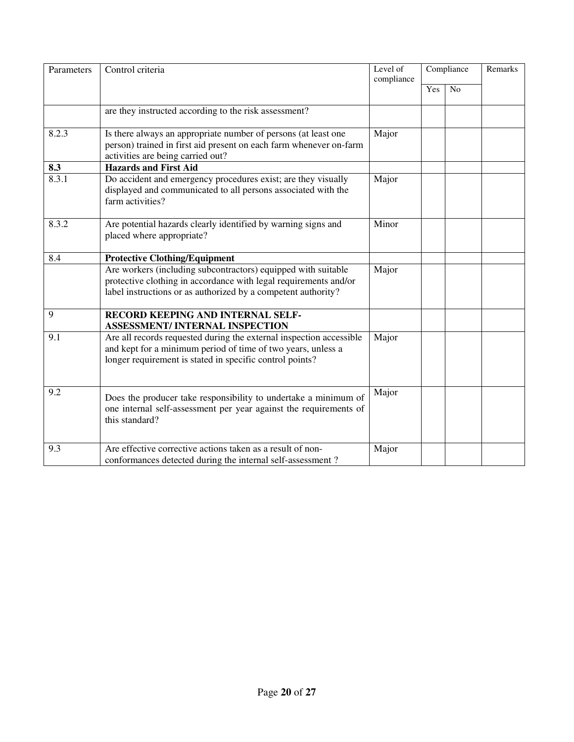| Parameters | Control criteria                                                                                                                                                                                   | Level of<br>compliance | Compliance |                 | Remarks |
|------------|----------------------------------------------------------------------------------------------------------------------------------------------------------------------------------------------------|------------------------|------------|-----------------|---------|
|            |                                                                                                                                                                                                    |                        | Yes        | $\overline{No}$ |         |
|            | are they instructed according to the risk assessment?                                                                                                                                              |                        |            |                 |         |
| 8.2.3      | Is there always an appropriate number of persons (at least one<br>person) trained in first aid present on each farm whenever on-farm<br>activities are being carried out?                          | Major                  |            |                 |         |
| 8.3        | <b>Hazards and First Aid</b>                                                                                                                                                                       |                        |            |                 |         |
| 8.3.1      | Do accident and emergency procedures exist; are they visually<br>displayed and communicated to all persons associated with the<br>farm activities?                                                 | Major                  |            |                 |         |
| 8.3.2      | Are potential hazards clearly identified by warning signs and<br>placed where appropriate?                                                                                                         | Minor                  |            |                 |         |
| 8.4        | <b>Protective Clothing/Equipment</b>                                                                                                                                                               |                        |            |                 |         |
|            | Are workers (including subcontractors) equipped with suitable<br>protective clothing in accordance with legal requirements and/or<br>label instructions or as authorized by a competent authority? | Major                  |            |                 |         |
| 9          | RECORD KEEPING AND INTERNAL SELF-<br><b>ASSESSMENT/INTERNAL INSPECTION</b>                                                                                                                         |                        |            |                 |         |
| 9.1        | Are all records requested during the external inspection accessible<br>and kept for a minimum period of time of two years, unless a<br>longer requirement is stated in specific control points?    | Major                  |            |                 |         |
| 9.2        | Does the producer take responsibility to undertake a minimum of<br>one internal self-assessment per year against the requirements of<br>this standard?                                             | Major                  |            |                 |         |
| 9.3        | Are effective corrective actions taken as a result of non-<br>conformances detected during the internal self-assessment?                                                                           | Major                  |            |                 |         |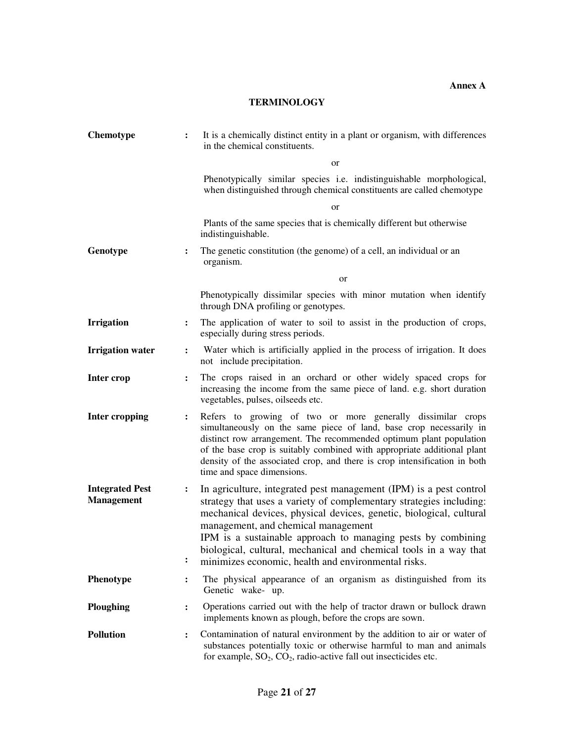**Annex A** 

# **TERMINOLOGY**

| <b>Chemotype</b>                            |                                  | It is a chemically distinct entity in a plant or organism, with differences<br>in the chemical constituents.                                                                                                                                                                                                                                                                                                                                        |  |  |
|---------------------------------------------|----------------------------------|-----------------------------------------------------------------------------------------------------------------------------------------------------------------------------------------------------------------------------------------------------------------------------------------------------------------------------------------------------------------------------------------------------------------------------------------------------|--|--|
|                                             |                                  | <sub>or</sub>                                                                                                                                                                                                                                                                                                                                                                                                                                       |  |  |
|                                             |                                  | Phenotypically similar species i.e. indistinguishable morphological,<br>when distinguished through chemical constituents are called chemotype                                                                                                                                                                                                                                                                                                       |  |  |
|                                             |                                  | <sub>or</sub>                                                                                                                                                                                                                                                                                                                                                                                                                                       |  |  |
|                                             |                                  | Plants of the same species that is chemically different but otherwise<br>indistinguishable.                                                                                                                                                                                                                                                                                                                                                         |  |  |
| Genotype                                    | $\ddot{\cdot}$                   | The genetic constitution (the genome) of a cell, an individual or an<br>organism.                                                                                                                                                                                                                                                                                                                                                                   |  |  |
|                                             |                                  | <b>or</b>                                                                                                                                                                                                                                                                                                                                                                                                                                           |  |  |
|                                             |                                  | Phenotypically dissimilar species with minor mutation when identify<br>through DNA profiling or genotypes.                                                                                                                                                                                                                                                                                                                                          |  |  |
| <b>Irrigation</b>                           | $\ddot{\cdot}$                   | The application of water to soil to assist in the production of crops,<br>especially during stress periods.                                                                                                                                                                                                                                                                                                                                         |  |  |
| <b>Irrigation water</b>                     | $\ddot{\cdot}$                   | Water which is artificially applied in the process of irrigation. It does<br>not include precipitation.                                                                                                                                                                                                                                                                                                                                             |  |  |
| Inter crop                                  | $\ddot{\cdot}$                   | The crops raised in an orchard or other widely spaced crops for<br>increasing the income from the same piece of land. e.g. short duration<br>vegetables, pulses, oilseeds etc.                                                                                                                                                                                                                                                                      |  |  |
| <b>Inter cropping</b>                       | $\ddot{\cdot}$                   | Refers to growing of two or more generally dissimilar crops<br>simultaneously on the same piece of land, base crop necessarily in<br>distinct row arrangement. The recommended optimum plant population<br>of the base crop is suitably combined with appropriate additional plant<br>density of the associated crop, and there is crop intensification in both<br>time and space dimensions.                                                       |  |  |
| <b>Integrated Pest</b><br><b>Management</b> | $\ddot{\cdot}$<br>$\ddot{\cdot}$ | In agriculture, integrated pest management (IPM) is a pest control<br>strategy that uses a variety of complementary strategies including:<br>mechanical devices, physical devices, genetic, biological, cultural<br>management, and chemical management<br>IPM is a sustainable approach to managing pests by combining<br>biological, cultural, mechanical and chemical tools in a way that<br>minimizes economic, health and environmental risks. |  |  |
| Phenotype                                   | $\ddot{\cdot}$                   | The physical appearance of an organism as distinguished from its<br>Genetic wake- up.                                                                                                                                                                                                                                                                                                                                                               |  |  |
| <b>Ploughing</b>                            | $\ddot{\cdot}$                   | Operations carried out with the help of tractor drawn or bullock drawn<br>implements known as plough, before the crops are sown.                                                                                                                                                                                                                                                                                                                    |  |  |
| <b>Pollution</b>                            | $\ddot{\cdot}$                   | Contamination of natural environment by the addition to air or water of<br>substances potentially toxic or otherwise harmful to man and animals<br>for example, $SO_2$ , $CO_2$ , radio-active fall out insecticides etc.                                                                                                                                                                                                                           |  |  |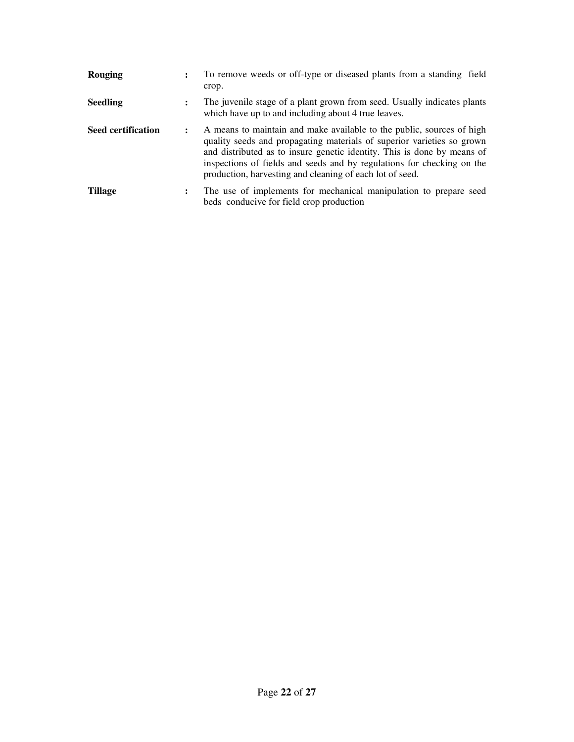| <b>Rouging</b>            | $\ddot{\phantom{a}}$                                                                                                                                                                                                                                                                                                                                                                     | To remove weeds or off-type or diseased plants from a standing field<br>crop.                                                  |
|---------------------------|------------------------------------------------------------------------------------------------------------------------------------------------------------------------------------------------------------------------------------------------------------------------------------------------------------------------------------------------------------------------------------------|--------------------------------------------------------------------------------------------------------------------------------|
| <b>Seedling</b>           | :                                                                                                                                                                                                                                                                                                                                                                                        | The juvenile stage of a plant grown from seed. Usually indicates plants<br>which have up to and including about 4 true leaves. |
| <b>Seed certification</b> | A means to maintain and make available to the public, sources of high<br>$\ddot{\phantom{a}}$<br>quality seeds and propagating materials of superior varieties so grown<br>and distributed as to insure genetic identity. This is done by means of<br>inspections of fields and seeds and by regulations for checking on the<br>production, harvesting and cleaning of each lot of seed. |                                                                                                                                |
| Tillage                   | $\ddot{\phantom{a}}$                                                                                                                                                                                                                                                                                                                                                                     | The use of implements for mechanical manipulation to prepare seed<br>beds conducive for field crop production                  |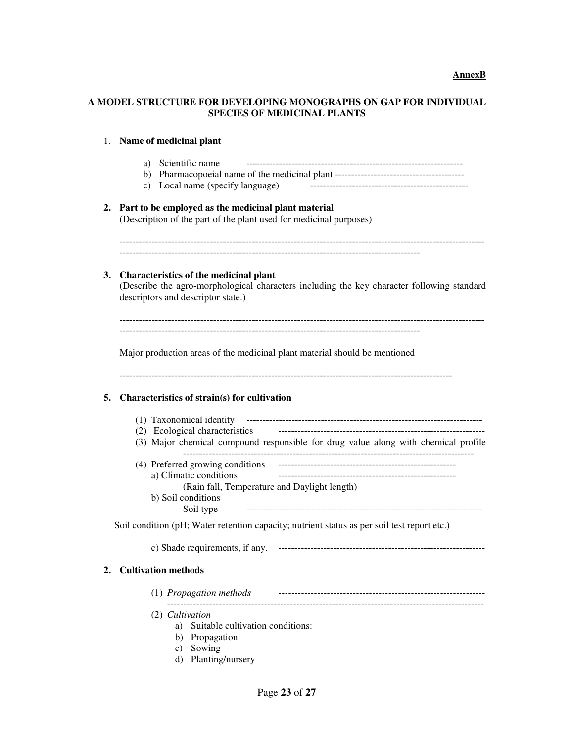### **A MODEL STRUCTURE FOR DEVELOPING MONOGRAPHS ON GAP FOR INDIVIDUAL SPECIES OF MEDICINAL PLANTS**

# 1. **Name of medicinal plant**

|    | a) Scientific name<br>c) Local name (specify language)                                                                                                                     |  |  |  |  |  |
|----|----------------------------------------------------------------------------------------------------------------------------------------------------------------------------|--|--|--|--|--|
|    | 2. Part to be employed as the medicinal plant material<br>(Description of the part of the plant used for medicinal purposes)                                               |  |  |  |  |  |
| 3. | Characteristics of the medicinal plant<br>(Describe the agro-morphological characters including the key character following standard<br>descriptors and descriptor state.) |  |  |  |  |  |
|    | Major production areas of the medicinal plant material should be mentioned                                                                                                 |  |  |  |  |  |
| 5. | Characteristics of strain(s) for cultivation                                                                                                                               |  |  |  |  |  |
|    |                                                                                                                                                                            |  |  |  |  |  |
|    | (3) Major chemical compound responsible for drug value along with chemical profile                                                                                         |  |  |  |  |  |
|    |                                                                                                                                                                            |  |  |  |  |  |
|    | a) Climatic conditions<br>(Rain fall, Temperature and Daylight length)                                                                                                     |  |  |  |  |  |
|    | b) Soil conditions                                                                                                                                                         |  |  |  |  |  |
|    | Soil type                                                                                                                                                                  |  |  |  |  |  |
|    | Soil condition (pH; Water retention capacity; nutrient status as per soil test report etc.)                                                                                |  |  |  |  |  |
|    |                                                                                                                                                                            |  |  |  |  |  |
|    | <b>Cultivation methods</b>                                                                                                                                                 |  |  |  |  |  |
|    | (1) Propagation methods                                                                                                                                                    |  |  |  |  |  |
|    | (2) Cultivation<br>a) Suitable cultivation conditions:<br>b) Propagation<br>Sowing<br>c)<br>Planting/nursery<br>d)                                                         |  |  |  |  |  |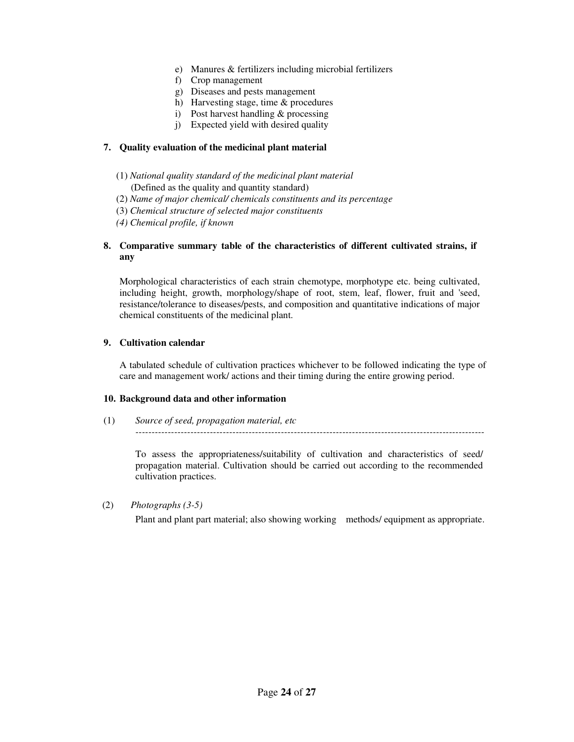- e) Manures & fertilizers including microbial fertilizers
- f) Crop management
- g) Diseases and pests management
- h) Harvesting stage, time & procedures
- i) Post harvest handling & processing
- j) Expected yield with desired quality

### **7. Quality evaluation of the medicinal plant material**

- (1) *National quality standard of the medicinal plant material*
- (Defined as the quality and quantity standard)
- (2) *Name of major chemical/ chemicals constituents and its percentage*
- (3) *Chemical structure of selected major constituents*
- *(4) Chemical profile, if known*

### **8. Comparative summary table of the characteristics of different cultivated strains, if any**

Morphological characteristics of each strain chemotype, morphotype etc. being cultivated, including height, growth, morphology/shape of root, stem, leaf, flower, fruit and 'seed, resistance/tolerance to diseases/pests, and composition and quantitative indications of major chemical constituents of the medicinal plant.

### **9. Cultivation calendar**

A tabulated schedule of cultivation practices whichever to be followed indicating the type of care and management work/ actions and their timing during the entire growing period.

#### **10. Background data and other information**

(1) *Source of seed, propagation material, etc ------------------------------------------------------------------------------------------------------------* 

To assess the appropriateness/suitability of cultivation and characteristics of seed/ propagation material. Cultivation should be carried out according to the recommended cultivation practices.

(2) *Photographs (3-5)* 

Plant and plant part material; also showing working methods/ equipment as appropriate.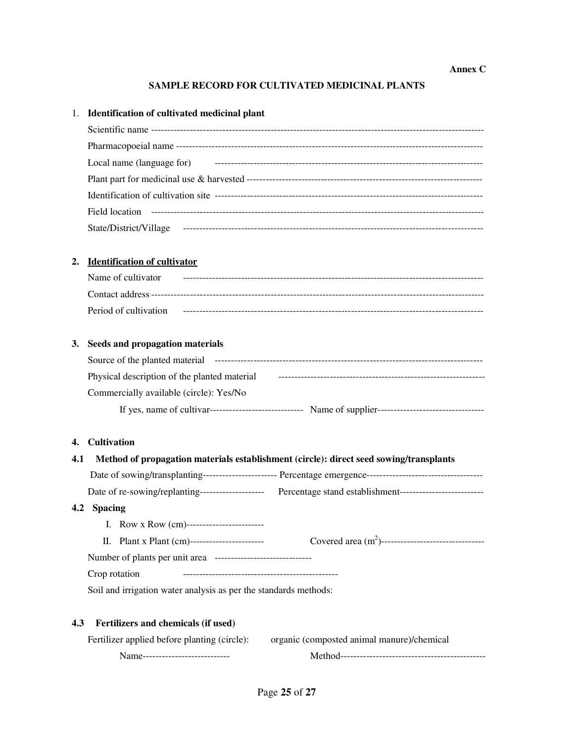### **Annex C**

### **SAMPLE RECORD FOR CULTIVATED MEDICINAL PLANTS**

|     | 1. Identification of cultivated medicinal plant                                                                |
|-----|----------------------------------------------------------------------------------------------------------------|
|     |                                                                                                                |
|     |                                                                                                                |
|     |                                                                                                                |
|     |                                                                                                                |
|     |                                                                                                                |
|     |                                                                                                                |
|     |                                                                                                                |
| 2.  | <b>Identification of cultivator</b>                                                                            |
|     | Name of cultivator                                                                                             |
|     |                                                                                                                |
|     |                                                                                                                |
|     | 3. Seeds and propagation materials                                                                             |
|     |                                                                                                                |
|     |                                                                                                                |
|     | Commercially available (circle): Yes/No                                                                        |
|     |                                                                                                                |
|     | 4. Cultivation                                                                                                 |
| 4.1 | Method of propagation materials establishment (circle): direct seed sowing/transplants                         |
|     |                                                                                                                |
|     | Date of re-sowing/replanting--------------------------- Percentage stand establishment------------------------ |
|     | 4.2 Spacing                                                                                                    |
|     | I. Row x Row (cm)-------------------------                                                                     |
|     |                                                                                                                |
|     |                                                                                                                |
|     | Crop rotation                                                                                                  |

Soil and irrigation water analysis as per the standards methods:

### **4.3 Fertilizers and chemicals (if used)**

|                                  | Fertilizer applied before planting (circle): organic (composted animal manure)/chemical |
|----------------------------------|-----------------------------------------------------------------------------------------|
| Name---------------------------- |                                                                                         |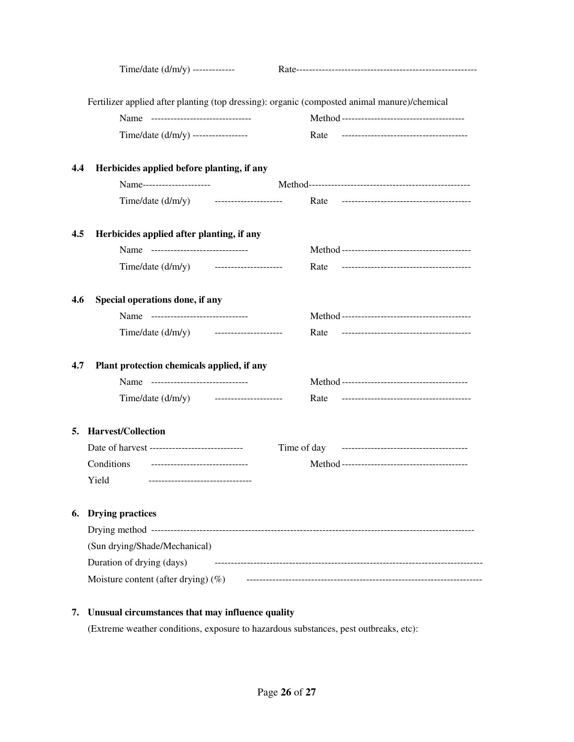|     | Time/date $(d/m/y)$ -------------            |                                                                                              |
|-----|----------------------------------------------|----------------------------------------------------------------------------------------------|
|     |                                              | Fertilizer applied after planting (top dressing): organic (composted animal manure)/chemical |
|     | Name ------------------------------          |                                                                                              |
|     | Time/date (d/m/y) -----------------          | Rate                                                                                         |
| 4.4 | Herbicides applied before planting, if any   |                                                                                              |
|     | Name----------------------                   |                                                                                              |
|     | Time/date $(d/m/y)$ ---------------------    | Rate                                                                                         |
| 4.5 | Herbicides applied after planting, if any    |                                                                                              |
|     | Name ------------------------------          |                                                                                              |
|     | Time/date (d/m/y) ----------------------     | Rate                                                                                         |
| 4.6 | Special operations done, if any              |                                                                                              |
|     | Name ------------------------------          |                                                                                              |
|     | Time/date $(d/m/y)$ ----------------------   | Rate                                                                                         |
| 4.7 | Plant protection chemicals applied, if any   |                                                                                              |
|     | Name -------------------------------         |                                                                                              |
|     | Time/date $(d/m/y)$ ----------------------   | Rate                                                                                         |
|     | 5. Harvest/Collection                        |                                                                                              |
|     |                                              |                                                                                              |
|     | Conditions<br>------------------------------ |                                                                                              |
|     | -------------------------------<br>Yield     |                                                                                              |
| 6.  | <b>Drying practices</b>                      |                                                                                              |
|     |                                              |                                                                                              |
|     | (Sun drying/Shade/Mechanical)                |                                                                                              |
|     | Duration of drying (days)                    |                                                                                              |
|     | Moisture content (after drying) $(\%)$       |                                                                                              |
|     |                                              |                                                                                              |

# **7. Unusual circumstances that may influence quality**

(Extreme weather conditions, exposure to hazardous substances, pest outbreaks, etc):